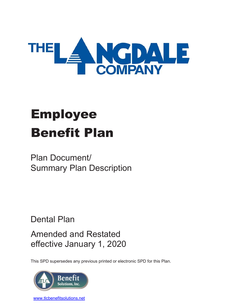

# Employee Benefit Plan

# Plan Document/ Summary Plan Description

Dental Plan

Amended and Restated effective January 1, 2020

This SPD supersedes any previous printed or electronic SPD for this Plan.



[www.tlcbenefitsolutions.net](http://www.tlcbenefitsolutions.net/)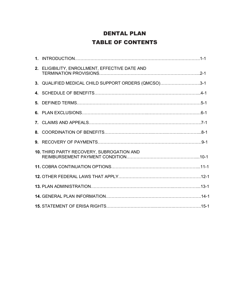# DENTAL PLAN TABLE OF CONTENTS

| 2. ELIGIBILITY, ENROLLMENT, EFFECTIVE DATE AND       |  |
|------------------------------------------------------|--|
| 3. QUALIFIED MEDICAL CHILD SUPPORT ORDERS (QMCSO)3-1 |  |
|                                                      |  |
|                                                      |  |
|                                                      |  |
|                                                      |  |
|                                                      |  |
|                                                      |  |
| 10. THIRD PARTY RECOVERY, SUBROGATION AND            |  |
|                                                      |  |
|                                                      |  |
|                                                      |  |
|                                                      |  |
|                                                      |  |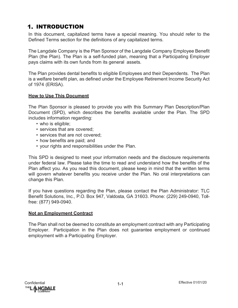# **1. INTRODUCTION**

In this document, capitalized terms have a special meaning. You should refer to the Defined Terms section for the definitions of any capitalized terms.

The Langdale Company is the Plan Sponsor of the Langdale Company Employee Benefit Plan (the Plan). The Plan is a self-funded plan, meaning that a Participating Employer pays claims with its own funds from its general assets.

The Plan provides dental benefits to eligible Employees and their Dependents. The Plan is a welfare benefit plan, as defined under the Employee Retirement Income Security Act of 1974 (ERISA).

#### **How to Use This Document**

The Plan Sponsor is pleased to provide you with this Summary Plan Description/Plan Document (SPD), which describes the benefits available under the Plan. The SPD includes information regarding:

- who is eligible;
- services that are covered;
- services that are not covered;
- how benefits are paid; and
- your rights and responsibilities under the Plan.

This SPD is designed to meet your information needs and the disclosure requirements under federal law. Please take the time to read and understand how the benefits of the Plan affect you. As you read this document, please keep in mind that the written terms will govern whatever benefits you receive under the Plan. No oral interpretations can change this Plan.

If you have questions regarding the Plan, please contact the Plan Administrator: TLC Benefit Solutions, Inc., P.O. Box 947, Valdosta, GA 31603. Phone: (229) 249-0940, Tollfree: (877) 949-0940.

#### **Not an Employment Contract**

The Plan shall not be deemed to constitute an employment contract with any Participating Employer. Participation in the Plan does not guarantee employment or continued employment with a Participating Employer.

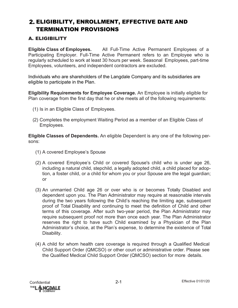# ELIGIBILITY, ENROLLMENT, EFFECTIVE DATE AND TERMINATION PROVISIONS

## A. ELIGIBILITY

**Eligible Class of Employees.** All Full-Time Active Permanent Employees of a Participating Employer. Full-Time Active Permanent refers to an Employee who is regularly scheduled to work at least 30 hours per week. Seasonal Employees, part-time Employees, volunteers, and independent contractors are excluded.

Individuals who are shareholders of the Langdale Company and its subsidiaries are eligible to participate in the Plan.

**Eligibility Requirements for Employee Coverage.** An Employee is initially eligible for Plan coverage from the first day that he or she meets all of the following requirements:

- (1) Is in an Eligible Class of Employees.
- (2) Completes the employment Waiting Period as a member of an Eligible Class of Employees.

**Eligible Classes of Dependents.** An eligible Dependent is any one of the following persons:

- (1) A covered Employee's Spouse
- (2) A covered Employee's Child or covered Spouse's child who is under age 26, including a natural child, stepchild, a legally adopted child, a child placed for adoption, a foster child, or a child for whom you or your Spouse are the legal guardian; or
- (3) An unmarried Child age 26 or over who is or becomes Totally Disabled and dependent upon you. The Plan Administrator may require at reasonable intervals during the two years following the Child's reaching the limiting age, subsequent proof of Total Disability and continuing to meet the definition of Child and other terms of this coverage. After such two-year period, the Plan Administrator may require subsequent proof not more than once each year. The Plan Administrator reserves the right to have such Child examined by a Physician of the Plan Administrator's choice, at the Plan's expense, to determine the existence of Total Disability.
- (4) A child for whom health care coverage is required through a Qualified Medical Child Support Order (QMCSO) or other court or administrative order. Please see the Qualified Medical Child Support Order (QMCSO) section for more details.

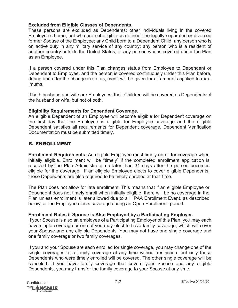#### **Excluded from Eligible Classes of Dependents.**

These persons are excluded as Dependents: other individuals living in the covered Employee's home, but who are not eligible as defined; the legally separated or divorced former Spouse of the Employee; any Child born to a Dependent Child; any person who is on active duty in any military service of any country; any person who is a resident of another country outside the United States; or any person who is covered under the Plan as an Employee.

If a person covered under this Plan changes status from Employee to Dependent or Dependent to Employee, and the person is covered continuously under this Plan before, during and after the change in status, credit will be given for all amounts applied to maximums.

If both husband and wife are Employees, their Children will be covered as Dependents of the husband or wife, but not of both.

#### **Eligibility Requirements for Dependent Coverage.**

An eligible Dependent of an Employee will become eligible for Dependent coverage on the first day that the Employee is eligible for Employee coverage and the eligible Dependent satisfies all requirements for Dependent coverage. Dependent Verification Documentation must be submitted timely.

### B. ENROLLMENT

**Enrollment Requirements.** An eligible Employee must timely enroll for coverage when initially eligible. Enrollment will be "timely" if the completed enrollment application is received by the Plan Administrator no later than 31 days after the person becomes eligible for the coverage. If an eligible Employee elects to cover eligible Dependents, those Dependents are also required to be timely enrolled at that time.

The Plan does not allow for late enrollment. This means that if an eligible Employee or Dependent does not timely enroll when initially eligible, there will be no coverage in the Plan unless enrollment is later allowed due to a HIPAA Enrollment Event, as described below, or the Employee elects coverage during an Open Enrollment period.

#### **Enrollment Rules if Spouse is Also Employed by a Participating Employer.**

If your Spouse is also an employee of a Participating Employer of this Plan, you may each have single coverage or one of you may elect to have family coverage, which will cover your Spouse and any eligible Dependents. You may not have one single coverage and one family coverage or two family coverages.

If you and your Spouse are each enrolled for single coverage, you may change one of the single coverages to a family coverage at any time without restriction, but only those Dependents who were timely enrolled will be covered. The other single coverage will be canceled. If you have family coverage that covers your Spouse and any eligible Dependents, you may transfer the family coverage to your Spouse at any time.

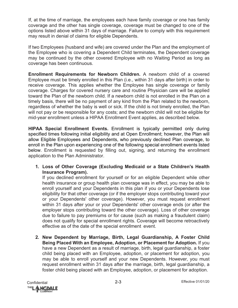If, at the time of marriage, the employees each have family coverage or one has family coverage and the other has single coverage, coverage must be changed to one of the options listed above within 31 days of marriage. Failure to comply with this requirement may result in denial of claims for eligible Dependents.

If two Employees (husband and wife) are covered under the Plan and the employment of the Employee who is covering a Dependent Child terminates, the Dependent coverage may be continued by the other covered Employee with no Waiting Period as long as coverage has been continuous.

**Enrollment Requirements for Newborn Children.** A newborn child of a covered Employee must be timely enrolled in this Plan (i.e., within 31 days after birth) in order to receive coverage. This applies whether the Employee has single coverage or family coverage. Charges for covered nursery care and routine Physician care will be applied toward the Plan of the newborn child. If a newborn child is not enrolled in the Plan on a timely basis, there will be no payment of any kind from the Plan related to the newborn, regardless of whether the baby is well or sick. If the child is not timely enrolled, the Plan will not pay or be responsible for any costs; and the newborn child will not be eligible for mid-year enrollment unless a HIPAA Enrollment Event applies, as described below.

**HIPAA Special Enrollment Events.** Enrollment is typically permitted only during specified times following initial eligibility and at Open Enrollment; however, the Plan will allow Eligible Employees and Dependents, who previously declined Plan coverage, to enroll in the Plan upon experiencing one of the following special enrollment events listed below. Enrollment is requested by filling out, signing, and returning the enrollment application to the Plan Administrator.

**1. Loss of Other Coverage (Excluding Medicaid or a State Children's Health Insurance Program).**

If you declined enrollment for yourself or for an eligible Dependent while other health insurance or group health plan coverage was in effect, you may be able to enroll yourself and your Dependents in this plan if you or your Dependents lose eligibility for that other coverage (or if the employer stops contributing toward your or your Dependents' other coverage). However, you must request enrollment within 31 days after your or your Dependents' other coverage ends (or after the employer stops contributing toward the other coverage). Loss of other coverage due to failure to pay premiums or for cause (such as making a fraudulent claim) does not qualify for special enrollment rights. Coverage will become retroactively effective as of the date of the special enrollment event.

**2. New Dependent by Marriage, Birth, Legal Guardianship, A Foster Child Being Placed With an Employee, Adoption, or Placement for Adoption.** If you have a new Dependent as a result of marriage, birth, legal guardianship, a foster child being placed with an Employee, adoption, or placement for adoption, you may be able to enroll yourself and your new Dependents. However, you must request enrollment within 31 days after the marriage, birth, legal guardianship, a foster child being placed with an Employee, adoption, or placement for adoption.

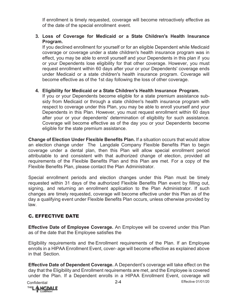If enrollment is timely requested, coverage will become retroactively effective as of the date of the special enrollment event.

#### **3. Loss of Coverage for Medicaid or a State Children's Health Insurance Program.**

If you declined enrollment for yourself or for an eligible Dependent while Medicaid coverage or coverage under a state children's health insurance program was in effect, you may be able to enroll yourself and your Dependents in this plan if you or your Dependents lose eligibility for that other coverage. However, you must request enrollment within 60 days after your or your Dependents' coverage ends under Medicaid or a state children's health insurance program. Coverage will become effective as of the 1st day following the loss of other coverage.

#### **4. Eligibility for Medicaid or a State Children's Health Insurance Program.**

If you or your Dependents become eligible for a state premium assistance subsidy from Medicaid or through a state children's health insurance program with respect to coverage under this Plan, you may be able to enroll yourself and your Dependents in this Plan. However, you must request enrollment within 60 days after your or your dependents' determination of eligibility for such assistance. Coverage will become effective as of the day you or your Dependents become eligible for the state premium assistance.

**Change of Election Under Flexible Benefits Plan.** If a situation occurs that would allow an election change under The Langdale Company Flexible Benefits Plan to begin coverage under a dental plan, then this Plan will allow special enrollment period attributable to and consistent with that authorized change of election, provided all requirements of the Flexible Benefits Plan and this Plan are met. For a copy of the Flexible Benefits Plan, please contact the Plan Administrator.

Special enrollment periods and election changes under this Plan must be timely requested within 31 days of the authorized Flexible Benefits Plan event by filling out, signing, and returning an enrollment application to the Plan Administrator. If such changes are timely requested, coverage will become effective under this Plan as of the day a qualifying event under Flexible Benefits Plan occurs, unless otherwise provided by law.

## C. EFFECTIVE DATE

**Effective Date of Employee Coverage.** An Employee will be covered under this Plan as of the date that the Employee satisfies the

Eligibility requirements and the Enrollment requirements of the Plan. If an Employee enrolls in a HIPAA Enrollment Event, cover- age will become effective as explained above in that Section.

**Effective Date of Dependent Coverage.** A Dependent's coverage will take effect on the day that the Eligibility and Enrollment requirements are met, and the Employee is covered under the Plan. If a Dependent enrolls in a HIPAA Enrollment Event, coverage will

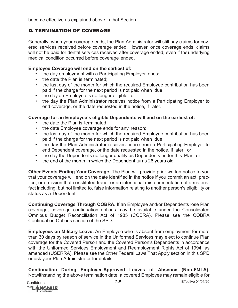become effective as explained above in that Section.

## D. TERMINATION OF COVERAGE

Generally, when your coverage ends, the Plan Administrator will still pay claims for covered services received before coverage ended. However, once coverage ends, claims will not be paid for dental services received after coverage ended, even if theunderlying medical condition occurred before coverage ended.

#### **Employee Coverage will end on the earliest of:**

- the day employment with a Participating Employer ends;
- the date the Plan is terminated;
- the last day of the month for which the required Employee contribution has been paid if the charge for the next period is not paid when due;
- the day an Employee is no longer eligible; or
- the day the Plan Administrator receives notice from a Participating Employer to end coverage, or the date requested in the notice, if later.

### **Coverage for an Employee's eligible Dependents will end on the earliest of:**

- the date the Plan is terminated
- the date Employee coverage ends for any reason;
- the last day of the month for which the required Employee contribution has been paid if the charge for the next period is not paid when due;
- the day the Plan Administrator receives notice from a Participating Employer to end Dependent coverage, or the date requested in the notice, if later; or
- the day the Dependents no longer qualify as Dependents under this Plan; or
- the end of the month in which the Dependent turns 26 years old.

**Other Events Ending Your Coverage.** The Plan will provide prior written notice to you that your coverage will end on the date identified in the notice if you commit an act, practice, or omission that constituted fraud, or an intentional misrepresentation of a material fact including, but not limited to, false information relating to another person's eligibility or status as a Dependent.

**Continuing Coverage Through COBRA.** If an Employee and/or Dependents lose Plan coverage, coverage continuation options may be available under the Consolidated Omnibus Budget Reconciliation Act of 1985 (COBRA). Please see the COBRA Continuation Options section of the SPD.

**Employees on Military Leave.** An Employee who is absent from employment for more than 30 days by reason of service in the Uniformed Services may elect to continue Plan coverage for the Covered Person and the Covered Person's Dependents in accordance with the Uniformed Services Employment and Reemployment Rights Act of 1994, as amended (USERRA). Please see the Other Federal Laws That Apply section in this SPD or ask your Plan Administrator for details.

**Continuation During Employer-Approved Leaves of Absence (Non-FMLA).**  Notwithstanding the above termination date, a covered Employee may remain eligible for

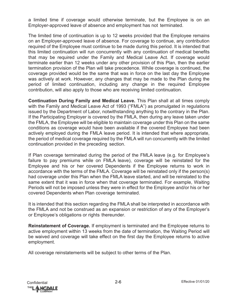a limited time if coverage would otherwise terminate, but the Employee is on an Employer-approved leave of absence and employment has not terminated.

The limited time of continuation is up to 12 weeks provided that the Employee remains on an Employer-approved leave of absence. For coverage to continue, any contribution required of the Employee must continue to be made during this period. It is intended that this limited continuation will run concurrently with any continuation of medical benefits that may be required under the Family and Medical Leave Act. If coverage would terminate earlier than 12 weeks under any other provision of this Plan, then the earlier termination provision of the Plan will take precedence. While coverage is continued, the coverage provided would be the same that was in force on the last day the Employee was actively at work. However, any changes that may be made to the Plan during the period of limited continuation, including any change in the required Employee contribution, will also apply to those who are receiving limited continuation.

**Continuation During Family and Medical Leave.** This Plan shall at all times comply with the Family and Medical Leave Act of 1993 ("FMLA") as promulgated in regulations issued by the Department of Labor, notwithstanding anything to the contrary in the Plan. If the Participating Employer is covered by the FMLA, then during any leave taken under the FMLA, the Employee will be eligible to maintain coverage under this Plan on the same conditions as coverage would have been available if the covered Employee had been actively employed during the FMLA leave period. It is intended that where appropriate, the period of medical coverage required by the FMLA will run concurrently with the limited continuation provided in the preceding section.

If Plan coverage terminated during the period of the FMLA leave (e.g. for Employee's failure to pay premiums while on FMLA leave), coverage will be reinstated for the Employee and his or her covered Dependents if the Employee returns to work in accordance with the terms of the FMLA. Coverage will be reinstated only if the person(s) had coverage under this Plan when the FMLA leave started, and will be reinstated to the same extent that it was in force when that coverage terminated. For example, Waiting Periods will not be imposed unless they were in effect for the Employee and/or his or her covered Dependents when Plan coverage terminated.

It is intended that this section regarding the FMLA shall be interpreted in accordance with the FMLA and not be construed as an expansion or restriction of any of the Employer's or Employee's obligations or rights thereunder.

**Reinstatement of Coverage.** If employment is terminated and the Employee returns to active employment within 13 weeks from the date of termination, the Waiting Period will be waived and coverage will take effect on the first day the Employee returns to active employment.

All coverage reinstatements will be subject to other terms of the Plan.

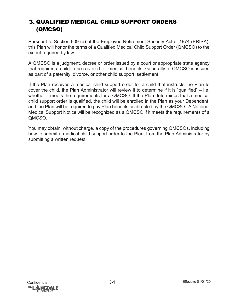# **3. QUALIFIED MEDICAL CHILD SUPPORT ORDERS** (QMCSO)

Pursuant to Section 609 (a) of the Employee Retirement Security Act of 1974 (ERISA), this Plan will honor the terms of a Qualified Medical Child Support Order (QMCSO) to the extent required by law.

A QMCSO is a judgment, decree or order issued by a court or appropriate state agency that requires a child to be covered for medical benefits. Generally, a QMCSO is issued as part of a paternity, divorce, or other child support settlement.

If the Plan receives a medical child support order for a child that instructs the Plan to cover the child, the Plan Administrator will review it to determine if it is "qualified" – i.e. whether it meets the requirements for a QMCSO. If the Plan determines that a medical child support order is qualified, the child will be enrolled in the Plan as your Dependent, and the Plan will be required to pay Plan benefits as directed by the QMCSO. A National Medical Support Notice will be recognized as a QMCSO if it meets the requirements of a QMCSO.

You may obtain, without charge, a copy of the procedures governing QMCSOs, including how to submit a medical child support order to the Plan, from the Plan Administrator by submitting a written request.

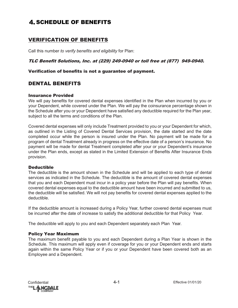# **4. SCHEDULE OF BENEFITS**

## VERIFICATION OF BENEFITS

Call this number *to verify benefits and eligibility* for Plan:

#### TLC Benefit Solutions, Inc. at (229) 249-0940 or toll free at (877) 949-0940.

#### Verification of benefits is not a guarantee of payment.

### DENTAL BENEFITS

#### Insurance Provided

We will pay benefits for covered dental expenses identified in the Plan when incurred by you or your Dependent, while covered under the Plan. We will pay the coinsurance percentage shown in the Schedule after you or your Dependent have satisfied any deductible required for the Plan year, subject to all the terms and conditions of the Plan.

Covered dental expenses will only include Treatment provided to you or your Dependent for which, as outlined in the Listing of Covered Dental Services provision, the date started and the date completed occur while the person is insured under the Plan. No payment will be made for a program of dental Treatment already in progress on the effective date of a person's insurance. No payment will be made for dental Treatment completed after your or your Dependent's insurance under the Plan ends, except as stated in the Limited Extension of Benefits After Insurance Ends provision.

#### **Deductible**

The deductible is the amount shown in the Schedule and will be applied to each type of dental services as indicated in the Schedule. The deductible is the amount of covered dental expenses that you and each Dependent must incur in a policy year before the Plan will pay benefits. When covered dental expenses equal to the deductible amount have been incurred and submitted to us, the deductible will be satisfied. We will not pay benefits for covered dental expenses applied to the deductible.

If the deductible amount is increased during a Policy Year, further covered dental expenses must be incurred after the date of increase to satisfy the additional deductible for that Policy Year.

The deductible will apply to you and each Dependent separately each Plan Year.

#### Policy Year Maximum

The maximum benefit payable to you and each Dependent during a Plan Year is shown in the Schedule. This maximum will apply even if coverage for you or your Dependent ends and starts again within the same Policy Year or if you or your Dependent have been covered both as an Employee and a Dependent.

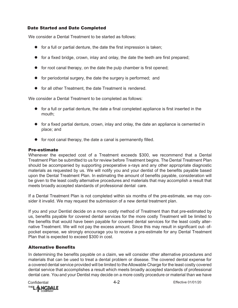#### Date Started and Date Completed

We consider a Dental Treatment to be started as follows:

- $\bullet$  for a full or partial denture, the date the first impression is taken;
- for a fixed bridge, crown, inlay and onlay, the date the teeth are first prepared;
- $\bullet$  for root canal therapy, on the date the pulp chamber is first opened;
- for periodontal surgery, the date the surgery is performed; and
- **•** for all other Treatment, the date Treatment is rendered.

We consider a Dental Treatment to be completed as follows:

- $\bullet$  for a full or partial denture, the date a final completed appliance is first inserted in the mouth;
- for a fixed partial denture, crown, inlay and onlay, the date an appliance is cemented in place; and
- **•** for root canal therapy, the date a canal is permanently filled.

#### Pre-estimate

Whenever the expected cost of a Treatment exceeds \$300, we recommend that a Dental Treatment Plan be submitted to us for review before Treatment begins. The Dental Treatment Plan should be accompanied by supporting preoperative x-rays and any other appropriate diagnostic materials as requested by us. We will notify you and your dentist of the benefits payable based upon the Dental Treatment Plan. In estimating the amount of benefits payable, consideration will be given to the least costly alternative procedures and materials that may accomplish a result that meets broadly accepted standards of professional dental care.

If a Dental Treatment Plan is not completed within six months of the pre-estimate, we may consider it invalid. We may request the submission of a new dental treatment plan.

If you and your Dentist decide on a more costly method of Treatment than that pre-estimated by us, benefits payable for covered dental services for the more costly Treatment will be limited to the benefits that would have been payable for covered dental services for the least costly alternative Treatment. We will not pay the excess amount. Since this may result in significant out- ofpocket expense, we strongly encourage you to receive a pre-estimate for any Dental Treatment Plan that is expected to exceed \$300 in cost.

#### Alternative Benefits

In determining the benefits payable on a claim, we will consider other alternative procedures and materials that can be used to treat a dental problem or disease. The covered dental expense for a covered dental service provided will be limited to the Allowable Charge for the least costly covered dental service that accomplishes a result which meets broadly accepted standards of professional dental care. You and your Dentist may decide on a more costly procedure or material than we have

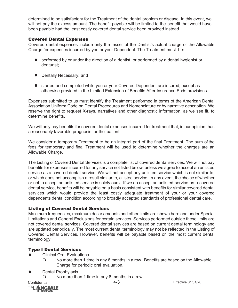determined to be satisfactory for the Treatment of the dental problem or disease. In this event, we will not pay the excess amount. The benefit payable will be limited to the benefit that would have been payable had the least costly covered dental service been provided instead.

#### Covered Dental Expenses

Covered dental expenses include only the lesser of the Dentist's actual charge or the Allowable Charge for expenses incurred by you or your Dependent. The Treatment must be:

- performed by or under the direction of a dentist, or performed by a dental hygienist or denturist;
- Dentally Necessary; and
- started and completed while you or your Covered Dependent are insured, except as otherwise provided in the Limited Extension of Benefits After Insurance Ends provisions.

Expenses submitted to us must identify the Treatment performed in terms of the American Dental Association Uniform Code on Dental Procedures and Nomenclature or by narrative description. We reserve the right to request X-rays, narratives and other diagnostic information, as we see fit, to determine benefits.

We will only pay benefits for covered dental expenses incurred for treatment that, in our opinion, has a reasonably favorable prognosis for the patient.

We consider a temporary Treatment to be an integral part of the final Treatment. The sum of the fees for temporary and final Treatment will be used to determine whether the charges are an Allowable Charge.

The Listing of Covered Dental Services is a complete list of covered dental services. We will not pay benefits for expenses incurred for any service not listed below, unless we agree to accept an unlisted service as a covered dental service. We will not accept any unlisted service which is not similar to, or which does not accomplish a result similar to, a listed service. In any event, the choice of whether or not to accept an unlisted service is solely ours. If we do accept an unlisted service as a covered dental service, benefits will be payable on a basis consistent with benefits for similar covered dental services which would provide the least costly adequate treatment of your or your covered dependents dental condition according to broadly accepted standards of professional dental care.

#### Listing of Covered Dental Services

Maximum frequencies, maximum dollar amounts and other limits are shown here and under Special Limitations and General Exclusions for certain services. Services performed outside these limits are not covered dental services. Covered dental services are based on current dental terminology and are updated periodically. The most current dental terminology may not be reflected in the Listing of Covered Dental Services. However, benefits will be payable based on the most current dental terminology.

#### Type I Dental Services

- Clinical Oral Evaluations
	- No more than 1 time in any 6 months in a row. Benefits are based on the Allowable Charge for periodic oral evaluation.
- Dental Prophylaxis
	- No more than 1 time in any 6 months in a row.

Confidential 4-3 Effective 01/01/20 **THE**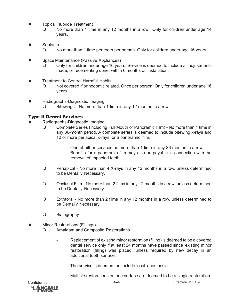- Topical Fluoride Treatment
	- No more than 1 time in any 12 months in a row. Only for children under age 14 years.
- **Sealants** 
	- No more than 1 time per tooth per person. Only for children under age 16 years.
- Space Maintenance (Passive Appliances)
	- Only for children under age 16 years. Service is deemed to include all adjustments made, or recementing done, within 6 months of installation.
- Treatment to Control Harmful Habits
	- Not covered if orthodontic related. Once per person. Only for children under age 16 years.
- Radiographs-Diagnostic Imaging
	- O Bitewings No more than 1 time in any 12 months in a row.

#### Type II Dental Services

- Radiographs-Diagnostic Imaging
	- Complete Series (including Full Mouth or Panoramic Film) No more than 1 time in any 36-month period. A complete series is deemed to include bitewing x-rays and 10 or more periapical x-rays, or a panoramic film.
		- One of either services no more than 1 time in any 36 months in a row. Benefits for a panoramic film may also be payable in connection with the removal of impacted teeth.
	- Periapical No more than 4 X-rays in any 12 months in a row, unless determined to be Dentally Necessary.
	- Occlusal Film No more than 2 films in any 12 months in a row, unless determined to be Dentally Necessary.
	- Extraoral No more than 2 films in any 12 months in a row, unless determined to be Dentally Necessary
	- O Sialography
- Minor Restorations (Fillings)
	- Amalgam and Composite Restorations
		- Replacement of existing minor restoration (filling) is deemed to be a covered dental service only if at least 24 months have passed since existing minor restoration (filling) was placed, unless required by new decay in an additional tooth surface.
		- The service is deemed too include local anesthesia.
			- Multiple restorations on one surface are deemed to be a single restoration.

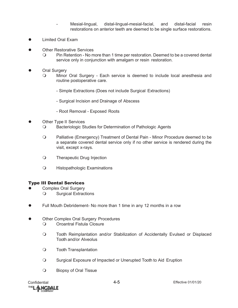- Mesial-lingual, distal-lingual-mesial-facial, and distal-facial resin restorations on anterior teeth are deemed to be single surface restorations.
- Limited Oral Exam
- Other Restorative Services
	- Pin Retention No more than 1 time per restoration. Deemed to be a covered dental service only in conjunction with amalgam or resin restoration.
- Oral Surgery
	- Minor Oral Surgery Each service is deemed to include local anesthesia and routine postoperative care.
		- Simple Extractions (Does not include Surgical Extractions)
		- Surgical Incision and Drainage of Abscess
		- Root Removal Exposed Roots
- Other Type II Services
	- Bacteriologic Studies for Determination of Pathologic Agents
	- Palliative (Emergency) Treatment of Dental Pain Minor Procedure deemed to be a separate covered dental service only if no other service is rendered during the visit, except x-rays.
	- O Therapeutic Drug Injection
	- Histopathologic Examinations

#### Type III Dental Services

- Complex Oral Surgery
	- Surgical Extractions
- Full Mouth Debridement- No more than 1 time in any 12 months in a row
- Other Complex Oral Surgery Procedures
	- O Oroantral Fistula Closure
	- Tooth Reimplantation and/or Stabilization of Accidentally Evulsed or Displaced Tooth and/or Alveolus
	- Tooth Transplantation
	- Surgical Exposure of Impacted or Unerupted Tooth to Aid Eruption
	- Biopsy of Oral Tissue

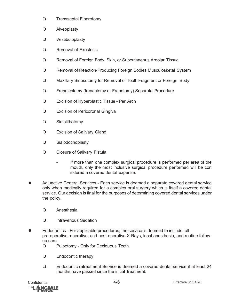- O Transseptal Fiberotomy
- Alveoplasty
- Vestibuloplasty
- Removal of Exostosis
- Removal of Foreign Body, Skin, or Subcutaneous Areolar Tissue
- Removal of Reaction-Producing Foreign Bodies Musculosketal System
- Maxillary Sinusotomy for Removal of Tooth Fragment or Foreign Body
- Frenulectomy (frenectomy or Frenotomy) Separate Procedure
- Excision of Hyperplastic Tissue Per Arch
- **Q** Excision of Pericoronal Gingiva
- Sialolithotomy
- Excision of Salivary Gland
- Sialodochoplasty
- O Closure of Salivary Fistula
	- If more than one complex surgical procedure is performed per area of the mouth, only the most inclusive surgical procedure performed will be con sidered a covered dental expense.
- Adjunctive General Services Each service is deemed a separate covered dental service only when medically required for a complex oral surgery which is itself a covered dental service. Our decision is final for the purposes of determining covered dental services under the policy.
	- Anesthesia
	- O Intravenous Sedation
- Endodontics For applicable procedures, the service is deemed to include all pre-operative, operative, and post-operative X-Rays, local anesthesia, and routine followup care.
	- Pulpotomy Only for Deciduous Teeth
	- Endodontic therapy
	- Endodontic retreatment Service is deemed a covered dental service if at least 24 months have passed since the initial treatment.

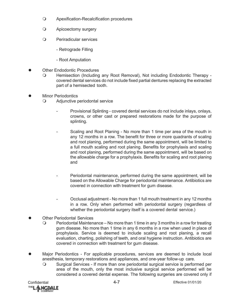- Apexification-Recalcification procedures
- Apicoectomy surgery
- Periradicular services
	- Retrograde Filling
	- Root Amputation
- Other Endodontic Procedures
	- Hemisection (Including any Root Removal), Not including Endodontic Therapy covered dental services do not include fixed partial dentures replacing the extracted part of a hemisected tooth.
- Minor Periodontics
	- Adjunctive periodontal service
		- Provisional Splinting covered dental services do not include inlays, onlays, crowns, or other cast or prepared restorations made for the purpose of splinting.
		- Scaling and Root Planing No more than 1 time per area of the mouth in any 12 months in a row. The benefit for three or more quadrants of scaling and root planing, performed during the same appointment, will be limited to a full mouth scaling and root planing. Benefits for prophylaxis and scaling and root planing, performed during the same appointment, will be based on the allowable charge for a prophylaxis. Benefits for scaling and root planing and
		- Periodontal maintenance, performed during the same appointment, will be based on the Allowable Charge for periodontal maintenance. Antibiotics are covered in connection with treatment for gum disease.
		- Occlusal adjustment No more than 1 full mouth treatment in any 12 months in a row. Only when performed with periodontal surgery (regardless of whether the periodontal surgery itself is a covered dental service.)
- Other Periodontal Services
	- $\circ$  Periodontal Maintenance No more than 1 time in any 3 months in a row for treating gum disease. No more than 1 time in any 6 months in a row when used in place of prophylaxis. Service is deemed to include scaling and root planing, a recall evaluation, charting, polishing of teeth, and oral hygiene instruction. Antibiotics are covered in connection with treatment for gum disease.
- Major Periodontics For applicable procedures, services are deemed to include local anesthesia, temporary restorations and appliances, and one-year follow-up care.
	- Surgical Services If more than one periodontal surgical service is performed per area of the mouth, only the most inclusive surgical service performed will be considered a covered dental expense. The following surgeries are covered only if

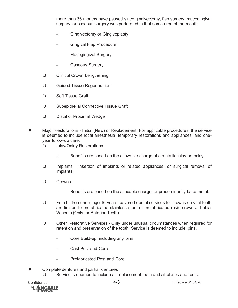more than 36 months have passed since gingivectomy, flap surgery, mucogingival surgery, or osseous surgery was performed in that same area of the mouth.

- Gingivectomy or Gingivoplasty
- Gingival Flap Procedure
- Mucogingival Surgery
- Osseous Surgery
- Clinical Crown Lengthening
- **Q** Guided Tissue Regeneration
- O Soft Tissue Graft
- O Subepithelial Connective Tissue Graft
- O Distal or Proximal Wedge
- Major Restorations Initial (New) or Replacement. For applicable procedures, the service is deemed to include local anesthesia, temporary restorations and appliances, and oneyear follow-up care.
	- O Inlay/Onlay Restorations
		- Benefits are based on the allowable charge of a metallic inlay or onlay.
	- Implants, insertion of implants or related appliances, or surgical removal of implants.
	- O Crowns
		- Benefits are based on the allocable charge for predominantly base metal.
	- For children under age 16 years, covered dental services for crowns on vital teeth are limited to prefabricated stainless steel or prefabricated resin crowns. Labial Veneers (Only for Anterior Teeth)
	- Other Restorative Services Only under unusual circumstances when required for retention and preservation of the tooth. Service is deemed to include pins.
		- Core Build-up, including any pins
		- Cast Post and Core
		- Prefabricated Post and Core
- Complete dentures and partial dentures Service is deemed to include all replacement teeth and all clasps and rests.

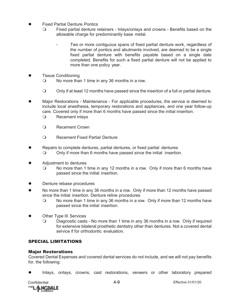- Fixed Partial Denture Pontics
	- Fixed partial denture retainers Inlays/onlays and crowns Benefits based on the allowable charge for predominantly base metal.
		- Two or more contiguous spans of fixed partial denture work, regardless of the number of pontics and abutments involved, are deemed to be a single fixed partial denture with benefits payable based on a single date completed. Benefits for such a fixed partial denture will not be applied to more than one policy year.
- Tissue Conditioning
	- No more than 1 time in any 36 months in a row.
	- Only if at least 12 months have passed since the insertion of a full or partial denture.
- Major Restorations Maintenance For applicable procedures, the service is deemed to include local anesthesia, temporary restorations and appliances, and one year follow-up care. Covered only if more than 6 months have passed since the initial insertion.
	- O Recement inlays
	- Recement Crown
	- Recement Fixed Partial Denture
- Repairs to complete dentures, partial dentures, or fixed partial dentures
	- Only if more than 6 months have passed since the initial insertion.
- Adjustment to dentures
	- No more than 1 time in any 12 months in a row. Only if more than 6 months have passed since the initial insertion.
- Denture rebase procedures
- No more than 1 time in any 36 months in a row. Only if more than 12 months have passed since the initial insertion. Denture reline procedures
	- No more than 1 time in any 36 months in a row. Only if more than 12 months have passed since the initial insertion.
- Other Type III Services
	- Diagnostic casts No more than 1 time in any 36 months in a row. Only if required for extensive bilateral prosthetic dentistry other than dentures. Not a covered dental service if for orthodontic evaluation.

#### SPECIAL LIMITATIONS

#### Major Restorations

Covered Dental Expenses and covered dental services do not include, and we will not pay benefits for, the following:

Inlays, onlays, crowns, cast restorations, veneers or other laboratory prepared

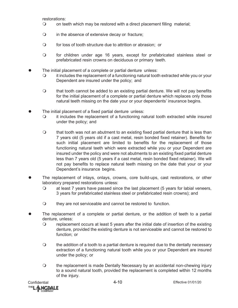restorations:

- on teeth which may be restored with a direct placement filling material;
- in the absence of extensive decay or fracture;
- for loss of tooth structure due to attrition or abrasion; or
- for children under age 16 years, except for prefabricated stainless steel or prefabricated resin crowns on deciduous or primary teeth.
- The initial placement of a complete or partial denture unless:
	- it includes the replacement of a functioning natural tooth extracted while you or your Dependent are insured under the policy; and
	- $\circ$  that tooth cannot be added to an existing partial denture. We will not pay benefits for the initial placement of a complete or partial denture which replaces only those natural teeth missing on the date your or your dependents' insurance begins.
- The initial placement of a fixed partial denture unless:
	- it includes the replacement of a functioning natural tooth extracted while insured under the policy; and
	- $\Omega$  that tooth was not an abutment to an existing fixed partial denture that is less than 7 years old (5 years old if a cast metal, resin bonded fixed retainer). Benefits for such initial placement are limited to benefits for the replacement of those functioning natural teeth which were extracted while you or your Dependent are insured under the policy and were not abutments to an existing fixed partial denture less than 7 years old (5 years if a cast metal, resin bonded fixed retainer). We will not pay benefits to replace natural teeth missing on the date that your or your Dependent's insurance begins.
- The replacement of inlays, onlays, crowns, core build-ups, cast restorations, or other laboratory prepared restorations unless:
	- at least 7 years have passed since the last placement (5 years for labial veneers, 3 years for prefabricated stainless steel or prefabricated resin crowns); and
	- O they are not serviceable and cannot be restored to function.
- The replacement of a complete or partial denture, or the addition of teeth to a partial denture, unless:
	- replacement occurs at least 5 years after the initial date of insertion of the existing denture, provided the existing denture is not serviceable and cannot be restored to function; or
	- $\circ$  the addition of a tooth to a partial denture is required due to the dentally necessary extraction of a functioning natural tooth while you or your Dependent are insured under the policy; or
	- the replacement is made Dentally Necessary by an accidental non-chewing injury to a sound natural tooth, provided the replacement is completed within 12 months of the injury.

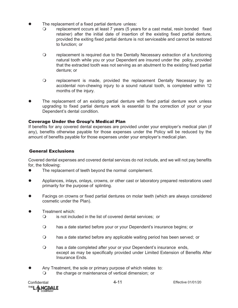- The replacement of a fixed partial denture unless:
	- replacement occurs at least 7 years (5 years for a cast metal, resin bonded fixed retainer) after the initial date of insertion of the existing fixed partial denture, provided the exiting fixed partial denture is not serviceable and cannot be restored to function; or
	- replacement is required due to the Dentally Necessary extraction of a functioning natural tooth while you or your Dependent are insured under the policy, provided that the extracted tooth was not serving as an abutment to the existing fixed partial denture; or
	- replacement is made, provided the replacement Dentally Necessary by an accidental non-chewing injury to a sound natural tooth, is completed within 12 months of the injury.
- The replacement of an existing partial denture with fixed partial denture work unless upgrading to fixed partial denture work is essential to the correction of your or your Dependent's dental condition.

#### Coverage Under the Group's Medical Plan

If benefits for any covered dental expenses are provided under your employer's medical plan (if any), benefits otherwise payable for those expenses under the Policy will be reduced by the amount of benefits payable for those expenses under your employer's medical plan.

#### General Exclusions

Covered dental expenses and covered dental services do not include, and we will not pay benefits for, the following:

- The replacement of teeth beyond the normal complement.
- Appliances, inlays, onlays, crowns, or other cast or laboratory prepared restorations used primarily for the purpose of splinting.
- Facings on crowns or fixed partial dentures on molar teeth (which are always considered cosmetic under the Plan).
- Treatment which:
	- is not included in the list of covered dental services; or
	- has a date started before your or your Dependent's insurance begins; or
	- has a date started before any applicable waiting period has been served; or
	- has a date completed after your or your Dependent's insurance ends, except as may be specifically provided under Limited Extension of Benefits After Insurance Ends.
- Any Treatment, the sole or primary purpose of which relates to:
	- O the charge or maintenance of vertical dimension; or

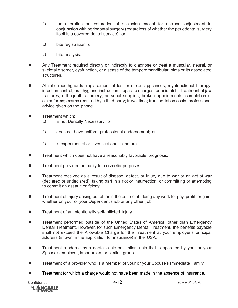- the alteration or restoration of occlusion except for occlusal adjustment in conjunction with periodontal surgery (regardless of whether the periodontal surgery itself is a covered dental service); or
- bite registration; or
- bite analysis.
- Any Treatment required directly or indirectly to diagnose or treat a muscular, neural, or skeletal disorder, dysfunction, or disease of the temporomandibular joints or its associated structures.
- Athletic mouthguards; replacement of lost or stolen appliances; myofunctional therapy; infection control; oral hygiene instruction; separate charges for acid etch; Treatment of jaw fractures; orthognathic surgery; personal supplies; broken appointments; completion of claim forms; exams required by a third party; travel time; transportation costs; professional advice given on the phone.
- Treatment which:
	- is not Dentally Necessary; or
	- does not have uniform professional endorsement; or
	- is experimental or investigational in nature.
- **Treatment which does not have a reasonably favorable prognosis.**
- Treatment provided primarily for cosmetic purposes.
- Treatment received as a result of disease, defect, or Injury due to war or an act of war (declared or undeclared), taking part in a riot or insurrection, or committing or attempting to commit an assault or felony.
- Treatment of Injury arising out of, or in the course of, doing any work for pay, profit, or gain, whether on your or your Dependent's job or any other job.
- **•** Treatment of an intentionally self-inflicted Injury.
- Treatment performed outside of the United States of America, other than Emergency Dental Treatment. However, for such Emergency Dental Treatment, the benefits payable shall not exceed the Allowable Charge for the Treatment at your employer's principal address (shown in the application for insurance) in the USA.
- Treatment rendered by a dental clinic or similar clinic that is operated by your or your Spouse's employer, labor union, or similar group.
- **•** Treatment of a provider who is a member of your or your Spouse's Immediate Family.
- Treatment for which a charge would not have been made in the absence of insurance.

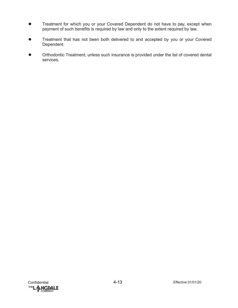- Treatment for which you or your Covered Dependent do not have to pay, except when payment of such benefits is required by law and only to the extent required by law.
- Treatment that has not been both delivered to and accepted by you or your Covered Dependent.
- Orthodontic Treatment, unless such insurance is provided under the list of covered dental services.

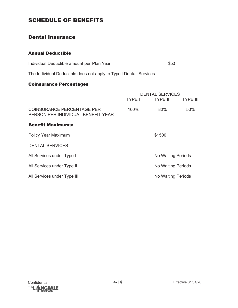# SCHEDULE OF BENEFITS

### Dental Insurance

#### Annual Deductible

| Individual Deductible amount per Plan Year | \$50 |
|--------------------------------------------|------|
|--------------------------------------------|------|

The Individual Deductible does not apply to Type I Dental Services

#### Coinsurance Percentages

|                                                                  | DENTAL SERVICES |                    |                 |  |
|------------------------------------------------------------------|-----------------|--------------------|-----------------|--|
|                                                                  | <b>TYPE I</b>   | <b>TYPE II</b>     | <b>TYPE III</b> |  |
| COINSURANCE PERCENTAGE PER<br>PERSON PER INDIVIDUAL BENEFIT YEAR | 100%            | 80%                | 50%             |  |
| <b>Benefit Maximums:</b>                                         |                 |                    |                 |  |
| <b>Policy Year Maximum</b>                                       | \$1500          |                    |                 |  |
| <b>DENTAL SERVICES</b>                                           |                 |                    |                 |  |
| All Services under Type I                                        |                 | No Waiting Periods |                 |  |
| All Services under Type II                                       |                 | No Waiting Periods |                 |  |
| All Services under Type III                                      |                 | No Waiting Periods |                 |  |

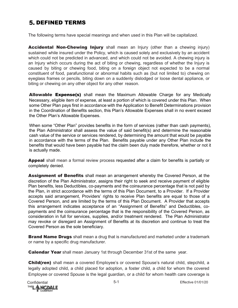# **5. DEFINED TERMS**

The following terms have special meanings and when used in this Plan will be capitalized.

**Accidental Non-Chewing Injury** shall mean an Injury (other than a chewing injury) sustained while insured under the Policy, which is caused solely and exclusively by an accident which could not be predicted in advanced, and which could not be avoided. A chewing injury is an Injury which occurs during the act of biting or chewing, regardless of whether the Injury is caused by biting or chewing food, biting on a foreign object not expected to be a normal constituent of food, parafunctional or abnormal habits such as (but not limited to) chewing on eyeglass frames or pencils, biting down on a suddenly dislodged or loose dental appliance, or biting or chewing on any other object for any other reason.

Allowable Expense(s) shall mean the Maximum Allowable Charge for any Medically Necessary, eligible item of expense, at least a portion of which is covered under this Plan. When some Other Plan pays first in accordance with the Application to Benefit Determinations provision in the Coordination of Benefits section, this Plan's Allowable Expenses shall in no event exceed the Other Plan's Allowable Expenses.

When some "Other Plan" provides benefits in the form of services (rather than cash payments), the Plan Administrator shall assess the value of said benefit(s) and determine the reasonable cash value of the service or services rendered, by determining the amount that would be payable in accordance with the terms of the Plan. Benefits payable under any Other Plan include the benefits that would have been payable had the claim been duly made therefore, whether or not it is actually made.

**Appeal** shall mean a formal review process requested after a claim for benefits is partially or completely denied.

**Assignment of Benefits** shall mean an arrangement whereby the Covered Person, at the discretion of the Plan Administrator, assigns their right to seek and receive payment of eligible Plan benefits, less Deductibles, co-payments and the coinsurance percentage that is not paid by the Plan, in strict accordance with the terms of this Plan Document, to a Provider. If a Provider accepts said arrangement, Providers' rights to receive Plan benefits are equal to those of a Covered Person, and are limited by the terms of this Plan Document. A Provider that accepts this arrangement indicates acceptance of an "Assignment of Benefits" and Deductibles, copayments and the coinsurance percentage that is the responsibility of the Covered Person, as consideration in full for services, supplies, and/or treatment rendered. The Plan Administrator may revoke or disregard an Assignment of Benefits at its discretion and continue to treat the Covered Person as the sole beneficiary.

**Brand Name Drugs** shall mean a drug that is manufactured and marketed under a trademark or name by a specific drug manufacturer.

**Calendar Year** shall mean January 1st through December 31st of the same year.

**Child(ren)** shall mean a covered Employee's or covered Spouse's natural child, stepchild, a legally adopted child, a child placed for adoption, a foster child, a child for whom the covered Employee or covered Spouse is the legal guardian, or a child for whom health care coverage is

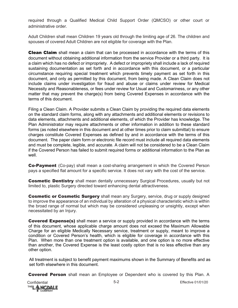required through a Qualified Medical Child Support Order (QMCSO) or other court or administrative order.

Adult Children shall mean Children 19 years old through the limiting age of 26. The children and spouses of covered Adult Children are not eligible for coverage with the Plan.

**Clean Claim** shall mean a claim that can be processed in accordance with the terms of this document without obtaining additional information from the service Provider or a third party. It is a claim which has no defect or impropriety. A defect or impropriety shall include a lack of required sustaining documentation as set forth and in accordance with this document, or a particular circumstance requiring special treatment which prevents timely payment as set forth in this document, and only as permitted by this document, from being made. A Clean Claim does not include claims under investigation for fraud and abuse or claims under review for Medical Necessity and Reasonableness, or fees under review for Usual and Customariness, or any other matter that may prevent the charge(s) from being Covered Expenses in accordance with the terms of this document.

Filing a Clean Claim. A Provider submits a Clean Claim by providing the required data elements on the standard claim forms, along with any attachments and additional elements or revisions to data elements, attachments and additional elements, of which the Provider has knowledge. The Plan Administrator may require attachments or other information in addition to these standard forms (as noted elsewhere in this document and at other times prior to claim submittal) to ensure charges constitute Covered Expenses as defined by and in accordance with the terms of this document. The paper claim form or electronic file record must include all required data elements and must be complete, legible, and accurate. A claim will not be considered to be a Clean Claim if the Covered Person has failed to submit required forms or additional information to the Plan as well.

**Co-Payment** (Co-pay) shall mean a cost-sharing arrangement in which the Covered Person pays a specified flat amount for a specific service. It does not vary with the cost of the service.

**Cosmetic Dentistry** shall mean dentally unnecessary Surgical Procedures, usually but not limited to, plastic Surgery directed toward enhancing dental attractiveness.

**Cosmetic or Cosmetic Surgery** shall mean any Surgery, service, drug or supply designed to improve the appearance of an individual by alteration of a physical characteristic which is within the broad range of normal but which may be considered unpleasing or unsightly, except when necessitated by an Injury.

**Covered Expense(s)** shall mean a service or supply provided in accordance with the terms of this document, whose applicable charge amount does not exceed the Maximum Allowable Charge for an eligible Medically Necessary service, treatment or supply, meant to improve a condition or Covered Person's health, which is eligible for coverage in accordance with this Plan. When more than one treatment option is available, and one option is no more effective than another, the Covered Expense is the least costly option that is no less effective than any other option.

All treatment is subject to benefit payment maximums shown in the Summary of Benefits and as set forth elsewhere in this document.

**Covered Person** shall mean an Employee or Dependent who is covered by this Plan. A

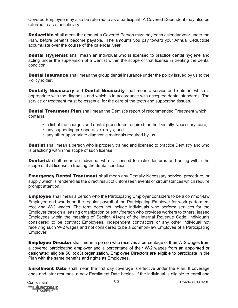Covered Employee may also be referred to as a participant. A Covered Dependent may also be referred to as a beneficiary.

**Deductible** shall mean the amount a Covered Person must pay each calendar year under the Plan, before benefits become payable. The amounts you pay toward your Annual Deductible accumulate over the course of the calendar year.

**Dental Hygienist** shall mean an individual who is licensed to practice dental hygiene and acting under the supervision of a Dentist within the scope of that license in treating the dental condition.

**Dental Insurance** shall mean the group dental insurance under the policy issued by us to the Policyholder.

Dentally Necessary and Dental Necessity shall mean a service or Treatment which is appropriate with the diagnosis and which is in accordance with accepted dental standards. The service or treatment must be essential for the care of the teeth and supporting tissues.

**Dental Treatment Plan** shall mean the Dentist's report of recommended Treatment which contains:

- a list of the charges and dental procedures required for the Dentally Necessary care;
- any supporting pre-operative x-rays; and
- any other appropriate diagnostic materials required by us.

**Dentist** shall mean a person who is properly trained and licensed to practice Dentistry and who is practicing within the scope of such license.

**Denturist** shall mean an individual who is licensed to make dentures and acting within the scope of that license in treating the dental condition.

**Emergency Dental Treatment** shall mean any Dentally Necessary service, procedure, or supply which is rendered as the direct result of unforeseen events or circumstances which require prompt attention.

**Employee** shall mean a person who the Participating Employer considers to be a common-law Employee and who is on the regular payroll of the Participating Employer for work performed, receiving W-2 wages. The term does not include individuals who perform services for the Employer through a leasing organization or entity/person who provides workers to others, leased Employees within the meaning of Section 414(n) of the Internal Revenue Code, individuals considered to be contract Employees, independent contractors or any other individual not receiving such W-2 wages and not considered to be a common-law Employee of a Participating Employer.

**Employee Director** shall mean a person who receives a percentage of their W-2 wages from a covered participating employer and a percentage of their W-2 wages from an appointed or designated eligible 501(c)(3) organization. Employee Directors are eligible to participate in the Plan with the same benefits and rights as Employees.

**Enrollment Date** shall mean the first day coverage is effective under the Plan. If coverage ends and later resumes, a new Enrollment Date begins. If the individual is eligible to enroll and

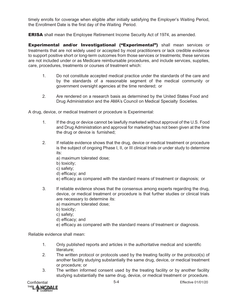timely enrolls for coverage when eligible after initially satisfying the Employer's Waiting Period, the Enrollment Date is the first day of the Waiting Period.

**ERISA** shall mean the Employee Retirement Income Security Act of 1974, as amended.

**Experimental and/or Investigational ("Experimental")** shall mean services or treatments that are not widely used or accepted by most practitioners or lack credible evidence to support positive short or long-term outcomes from those services or treatments; these services are not included under or as Medicare reimbursable procedures, and include services, supplies, care, procedures, treatments or courses of treatment which:

- 1. Do not constitute accepted medical practice under the standards of the care and by the standards of a reasonable segment of the medical community or government oversight agencies at the time rendered; or
- 2. Are rendered on a research basis as determined by the United States Food and Drug Administration and the AMA's Council on Medical Specialty Societies.

A drug, device, or medical treatment or procedure is Experimental:

- 1. If the drug or device cannot be lawfully marketed without approval of the U.S. Food and Drug Administration and approval for marketing has not been given at the time the drug or device is furnished;
- 2. If reliable evidence shows that the drug, device or medical treatment or procedure is the subject of ongoing Phase I, II, or III clinical trials or under study to determine its:
	- a) maximum tolerated dose;
	- b) toxicity;
	- c) safety;
	- d) efficacy; and
	- e) efficacy as compared with the standard means of treatment or diagnosis; or
- 3. If reliable evidence shows that the consensus among experts regarding the drug, device, or medical treatment or procedure is that further studies or clinical trials are necessary to determine its:
	- a) maximum tolerated dose;
	- b) toxicity;
	- c) safety;
	- d) efficacy; and
	- e) efficacy as compared with the standard means of treatment or diagnosis.

Reliable evidence shall mean:

- 1. Only published reports and articles in the authoritative medical and scientific literature;
- 2. The written protocol or protocols used by the treating facility or the protocol(s) of another facility studying substantially the same drug, device, or medical treatment or procedure; or
- 3. The written informed consent used by the treating facility or by another facility studying substantially the same drug, device, or medical treatment or procedure.

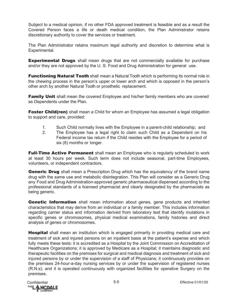Subject to a medical opinion, if no other FDA approved treatment is feasible and as a result the Covered Person faces a life or death medical condition, the Plan Administrator retains discretionary authority to cover the services or treatment.

The Plan Administrator retains maximum legal authority and discretion to determine what is Experimental.

**Experimental Drugs** shall mean drugs that are not commercially available for purchase and/or they are not approved by the U. S. Food and Drug Administration for general use.

**Functioning Natural Tooth** shall mean a Natural Tooth which is performing its normal role in the chewing process in the person's upper or lower arch and which is opposed in the person's other arch by another Natural Tooth or prosthetic replacement.

**Family Unit** shall mean the covered Employee and his/her family members who are covered as Dependents under the Plan.

**Foster Child(ren)** shall mean a Child for whom an Employee has assumed a legal obligation to support and care, provided:

- 1. Such Child normally lives with the Employee in a parent-child relationship; and
- 2. The Employee has a legal right to claim such Child as a Dependent on his Federal income tax return if the Child resides with the Employee for a period of six (6) months or longer.

**Full-Time Active Permanent** shall mean an Employee who is regularly scheduled to work at least 30 hours per week. Such term does not include seasonal, part-time Employees, volunteers, or independent contractors.

**Generic Drug** shall mean a Prescription Drug which has the equivalency of the brand name drug with the same use and metabolic disintegration. This Plan will consider as a Generic Drug any Food and Drug Administration-approved generic pharmaceutical dispensed according to the professional standards of a licensed pharmacist and clearly designated by the pharmacists as being generic.

**Genetic Information** shall mean information about genes, gene products and inherited characteristics that may derive from an individual or a family member. This includes information regarding carrier status and information derived from laboratory test that identify mutations in specific genes or chromosomes, physical medical examinations, family histories and direct analysis of genes or chromosomes.

Hospital shall mean an institution which is engaged primarily in providing medical care and treatment of sick and injured persons on an inpatient basis at the patient's expense and which fully meets these tests: it is accredited as a Hospital by the Joint Commission on Accreditation of Healthcare Organizations; it is approved by Medicare as a Hospital; it maintains diagnostic and therapeutic facilities on the premises for surgical and medical diagnosis and treatment of sick and injured persons by or under the supervision of a staff of Physicians; it continuously provides on the premises 24-hour-a-day nursing services by or under the supervision of registered nurses (R.N.s); and it is operated continuously with organized facilities for operative Surgery on the premises.

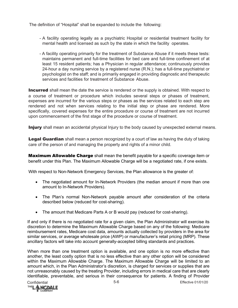The definition of "Hospital" shall be expanded to include the following:

- A facility operating legally as a psychiatric Hospital or residential treatment facility for mental health and licensed as such by the state in which the facility operates.
- A facility operating primarily for the treatment of Substance Abuse if it meets these tests: maintains permanent and full-time facilities for bed care and full-time confinement of at least 15 resident patients; has a Physician in regular attendance; continuously provides 24-hour a day nursing service by a registered nurse (R.N.); has a full-time psychiatrist or psychologist on the staff; and is primarily engaged in providing diagnostic and therapeutic services and facilities for treatment of Substance Abuse.

**Incurred** shall mean the date the service is rendered or the supply is obtained. With respect to a course of treatment or procedure which includes several steps or phases of treatment, expenses are incurred for the various steps or phases as the services related to each step are rendered and not when services relating to the initial step or phase are rendered. More specifically, covered expenses for the entire procedure or course of treatment are not incurred upon commencement of the first stage of the procedure or course of treatment.

**Injury** shall mean an accidental physical Injury to the body caused by unexpected external means.

Legal Guardian shall mean a person recognized by a court of law as having the duty of taking care of the person of and managing the property and rights of a minor child.

**Maximum Allowable Charge** shall mean the benefit payable for a specific coverage item or benefit under this Plan. The Maximum Allowable Charge will be a negotiated rate, if one exists.

With respect to Non-Network Emergency Services, the Plan allowance is the greater of:

- The negotiated amount for In-Network Providers (the median amount if more than one amount to In-Network Providers).
- The Plan's normal Non-Network payable amount after consideration of the criteria described below (reduced for cost-sharing).
- The amount that Medicare Parts A or B would pay (reduced for cost-sharing).

If and only if there is no negotiated rate for a given claim, the Plan Administrator will exercise its discretion to determine the Maximum Allowable Charge based on any of the following: Medicare reimbursement rates, Medicare cost data, amounts actually collected by providers in the area for similar services, or average wholesale price (AWP) or manufacturer's retail pricing (MRP). These ancillary factors will take into account generally-accepted billing standards and practices.

When more than one treatment option is available, and one option is no more effective than another, the least costly option that is no less effective than any other option will be considered within the Maximum Allowable Charge. The Maximum Allowable Charge will be limited to an amount which, in the Plan Administrator's discretion, is charged for services or supplies that are not unreasonably caused by the treating Provider, including errors in medical care that are clearly identifiable, preventable, and serious in their consequence for patients. A finding of Provider

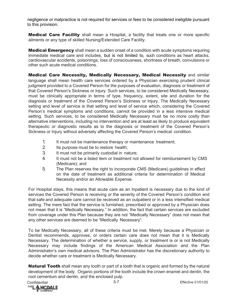negligence or malpractice is not required for services or fees to be considered ineligible pursuant to this provision.

**Medical Care Facility** shall mean a Hospital, a facility that treats one or more specific ailments or any type of skilled Nursing/Extended Care Facility.

**Medical Emergency** shall mean a sudden onset of a condition with acute symptoms requiring immediate medical care and includes, but is not limited to, such conditions as heart attacks, cardiovascular accidents, poisonings, loss of consciousness, shortness of breath, convulsions or other such acute medical conditions.

Medical Care Necessity, Medically Necessary, Medical Necessity and similar language shall mean health care services ordered by a Physician exercising prudent clinical judgment provided to a Covered Person for the purposes of evaluation, diagnosis or treatment of that Covered Person's Sickness or Injury. Such services, to be considered Medically Necessary, must be clinically appropriate in terms of type, frequency, extent, site and duration for the diagnosis or treatment of the Covered Person's Sickness or Injury. The Medically Necessary setting and level of service is that setting and level of service which, considering the Covered Person's medical symptoms and conditions, cannot be provided in a less intensive medical setting. Such services, to be considered Medically Necessary must be no more costly than alternative interventions, including no intervention and are at least as likely to produce equivalent therapeutic or diagnostic results as to the diagnosis or treatment of the Covered Person's Sickness or Injury without adversely affecting the Covered Person's medical condition.

- 1. It must not be maintenance therapy or maintenance treatment;
- 2. Its purpose must be to restore health;
- 3. It must not be primarily custodial in nature;
- 4. It must not be a listed item or treatment not allowed for reimbursement by CMS (Medicare); and
- 5. The Plan reserves the right to incorporate CMS (Medicare) guidelines in effect on the date of treatment as additional criteria for determination of Medical Necessity and/or an Allowable Expense.

For Hospital stays, this means that acute care as an Inpatient is necessary due to the kind of services the Covered Person is receiving or the severity of the Covered Person's condition and that safe and adequate care cannot be received as an outpatient or in a less intensified medical setting. The mere fact that the service is furnished, prescribed or approved by a Physician does not mean that it is "Medically Necessary." In addition, the fact that certain services are excluded from coverage under this Plan because they are not "Medically Necessary" does not mean that any other services are deemed to be "Medically Necessary".

To be Medically Necessary, all of these criteria must be met. Merely because a Physician or Dentist recommends, approves, or orders certain care does not mean that it is Medically Necessary. The determination of whether a service, supply, or treatment is or is not Medically Necessary may include findings of the American Medical Association and the Plan Administrator's own medical advisors. The Plan Administrator has the discretionary authority to decide whether care or treatment is Medically Necessary.

**Natural Tooth** shall mean any tooth or part of a tooth that is organic and formed by the natural development of the body. Organic portions of the tooth include the crown enamel and dentin, the root cementum and dentin, and the enclosed pulp.

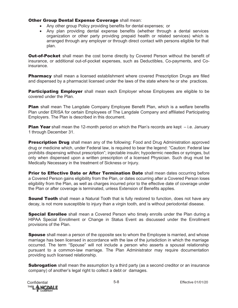#### **Other Group Dental Expense Coverage shall mean:**

- Any other group Policy providing benefits for dental expenses; or
- Any plan providing dental expense benefits (whether through a dental services organization or other party providing prepaid health or related services) which is arranged through any employer or through direct contact with persons eligible for that plan.

**Out-of-Pocket** shall mean the cost borne directly by Covered Person without the benefit of insurance, or additional out-of-pocket expenses, such as Deductibles, Co-payments, and Coinsurance.

Pharmacy shall mean a licensed establishment where covered Prescription Drugs are filled and dispensed by a pharmacist licensed under the laws of the state where he or she practices.

**Participating Employer** shall mean each Employer whose Employees are eligible to be covered under the Plan.

**Plan** shall mean The Langdale Company Employee Benefit Plan, which is a welfare benefits Plan under ERISA for certain Employees of The Langdale Company and affiliated Participating Employers. The Plan is described in this document.

**Plan Year** shall mean the 12-month period on which the Plan's records are kept  $-$  i.e. January 1 through December 31.

**Prescription Drug** shall mean any of the following: Food and Drug Administration approved drug or medicine which, under Federal law, is required to bear the legend: "Caution: Federal law prohibits dispensing without prescription"; injectable insulin; hypodermic needles or syringes, but only when dispensed upon a written prescription of a licensed Physician. Such drug must be Medically Necessary in the treatment of Sickness or Injury.

**Prior to Effective Date or After Termination Date** shall mean dates occurring before a Covered Person gains eligibility from the Plan, or dates occurring after a Covered Person loses eligibility from the Plan, as well as charges incurred prior to the effective date of coverage under the Plan or after coverage is terminated, unless Extension of Benefits applies.

Sound Tooth shall mean a Natural Tooth that is fully restored to function, does not have any decay, is not more susceptible to injury than a virgin tooth, and is without periodontal disease.

**Special Enrollee** shall mean a Covered Person who timely enrolls under the Plan during a HIPAA Special Enrollment or Change in Status Event as discussed under the Enrollment provisions of the Plan.

**Spouse** shall mean a person of the opposite sex to whom the Employee is married, and whose marriage has been licensed in accordance with the law of the jurisdiction in which the marriage occurred. The term "Spouse" will not include a person who asserts a spousal relationship pursuant to a common-law marriage. The Plan Administrator may require documentation providing such licensed relationship.

**Subrogation** shall mean the assumption by a third party (as a second creditor or an insurance company) of another's legal right to collect a debt or damages.

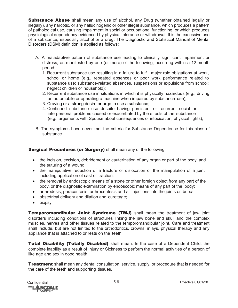**Substance Abuse** shall mean any use of alcohol, any Drug (whether obtained legally or illegally), any narcotic, or any hallucinogenic or other illegal substance, which produces a pattern of pathological use, causing impairment in social or occupational functioning, or which produces physiological dependency evidenced by physical tolerance or withdrawal. It is the excessive use of a substance, especially alcohol or a drug. The Diagnostic and Statistical Manual of Mental Disorders (DSM) definition is applied as follows:

- A. A maladaptive pattern of substance use leading to clinically significant impairment or distress, as manifested by one (or more) of the following, occurring within a 12-month period:
	- 1. Recurrent substance use resulting in a failure to fulfill major role obligations at work, school or home (e.g., repeated absences or poor work performance related to substance use; substance-related absences, suspensions or expulsions from school; neglect children or household);
	- 2. Recurrent substance use in situations in which it is physically hazardous (e.g., driving an automobile or operating a machine when impaired by substance use);
	- 3. Craving or a strong desire or urge to use a substance;
	- 4. Continued substance use despite having persistent or recurrent social or interpersonal problems caused or exacerbated by the effects of the substance (e.g., arguments with Spouse about consequences of intoxication, physical fights);
- B. The symptoms have never met the criteria for Substance Dependence for this class of substance.

Surgical Procedures (or Surgery) shall mean any of the following:

- the incision, excision, debridement or cauterization of any organ or part of the body, and the suturing of a wound;
- the manipulative reduction of a fracture or dislocation or the manipulation of a joint, including application of cast or traction;
- the removal by endoscopic means of a stone or other foreign object from any part of the body, or the diagnostic examination by endoscopic means of any part of the body;
- arthrodesis, paracentesis, arthrocentesis and all injections into the joints or bursa;
- obstetrical delivery and dilation and curettage;
- biopsy.

Temporomandibular Joint Syndrome (TMJ) shall mean the treatment of jaw joint disorders including conditions of structures linking the jaw bone and skull and the complex muscles, nerves and other tissues related to the temporomandibular joint. Care and treatment shall include, but are not limited to the orthodontics, crowns, inlays, physical therapy and any appliance that is attached to or rests on the teeth.

Total Disability (Totally Disabled) shall mean: In the case of a Dependent Child, the complete inability as a result of Injury or Sickness to perform the normal activities of a person of like age and sex in good health.

**Treatment** shall mean any dental consultation, service, supply, or procedure that is needed for the care of the teeth and supporting tissues.

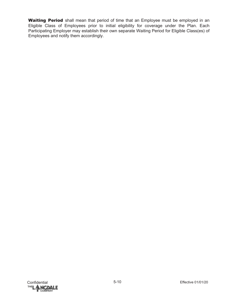Waiting Period shall mean that period of time that an Employee must be employed in an Eligible Class of Employees prior to initial eligibility for coverage under the Plan. Each Participating Employer may establish their own separate Waiting Period for Eligible Class(es) of Employees and notify them accordingly.

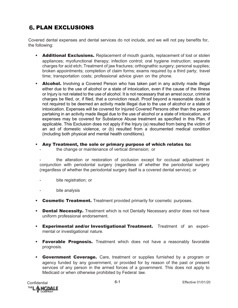# **6. PLAN EXCLUSIONS**

Covered dental expenses and dental services do not include, and we will not pay benefits for, the following:

- Additional Exclusions. Replacement of mouth guards, replacement of lost or stolen appliances; myofunctional therapy; infection control; oral hygiene instruction; separate charges for acid etch; Treatment of jaw fractures; orthognathic surgery; personal supplies; broken appointments; completion of claim forms; exams required by a third party; travel time; transportation costs; professional advice given on the phone.
- **Alcohol.** Involving a Covered Person who has taken part in any activity made illegal either due to the use of alcohol or a state of intoxication, even if the cause of the Illness or Injury is not related to the use of alcohol. It is not necessary that an arrest occur, criminal charges be filed, or, if filed, that a conviction result. Proof beyond a reasonable doubt is not required to be deemed an activity made illegal due to the use of alcohol or a state of intoxication. Expenses will be covered for Injured Covered Persons other than the person partaking in an activity made illegal due to the use of alcohol or a state of intoxication, and expenses may be covered for Substance Abuse treatment as specified in this Plan, if applicable. This Exclusion does not apply if the Injury (a) resulted from being the victim of an act of domestic violence, or (b) resulted from a documented medical condition (including both physical and mental health conditions).
- Any Treatment, the sole or primary purpose of which relates to:
	- the change or maintenance of vertical dimension; or
	- the alteration or restoration of occlusion except for occlusal adjustment in conjunction with periodontal surgery (regardless of whether the periodontal surgery (regardless of whether the periodontal surgery itself is a covered dental service); or
	- bite registration; or
	- bite analysis
- Cosmetic Treatment. Treatment provided primarily for cosmetic purposes.
- Dental Necessity. Treatment which is not Dentally Necessary and/or does not have uniform professional endorsement.
- Experimental and/or Investigational Treatment. Treatment of an experimental or investigational nature.
- Favorable Prognosis. Treatment which does not have a reasonably favorable prognosis.
- Government Coverage. Care, treatment or supplies furnished by a program or agency funded by any government, or provided for by reason of the past or present services of any person in the armed forces of a government. This does not apply to Medicaid or when otherwise prohibited by Federal law.

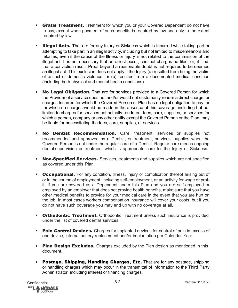- Gratis Treatment. Treatment for which you or your Covered Dependent do not have to pay, except when payment of such benefits is required by law and only to the extent required by law.
- **Illegal Acts.** That are for any Injury or Sickness which is Incurred while taking part or attempting to take part in an illegal activity, including but not limited to misdemeanors and felonies, even if the cause of the Illness or Injury is not related to the commission of the illegal act. It is not necessary that an arrest occur, criminal charges be filed, or, if filed, that a conviction result. Proof beyond a reasonable doubt is not required to be deemed an illegal act. This exclusion does not apply if the Injury (a) resulted from being the victim of an act of domestic violence, or (b) resulted from a documented medical condition (including both physical and mental health conditions).
- No Legal Obligation. That are for services provided to a Covered Person for which the Provider of a service does not and/or would not customarily render a direct charge, or charges Incurred for which the Covered Person or Plan has no legal obligation to pay, or for which no charges would be made in the absence of this coverage, including but not limited to charges for services not actually rendered, fees, care, supplies, or services for which a person, company or any other entity except the Covered Person or the Plan, may be liable for necessitating the fees, care, supplies, or services.
- No Dentist Recommendation. Care, treatment, services or supplies not recommended and approved by a Dentist; or treatment, services, supplies when the Covered Person is not under the regular care of a Dentist. Regular care means ongoing dental supervision or treatment which is appropriate care for the Injury or Sickness.
- Non-Specified Services. Services, treatments and supplies which are not specified as covered under this Plan.
- Occupational. For any condition, Illness, Injury or complication thereof arising out of or in the course of employment, including self-employment, or an activity for wage or profit; If you are covered as a Dependent under this Plan and you are self-employed or employed by an employer that does not provide health benefits, make sure that you have other medical benefits to provide for your medical care in the event that you are hurt on the job. In most cases workers compensation insurance will cover your costs, but if you do not have such coverage you may end up with no coverage at all.
- Orthodontic Treatment. Orthodontic Treatment unless such insurance is provided under the list of covered dental services.
- Pain Control Devices. Charges for implanted devices for control of pain in excess of one device, internal battery replacement and/or implantation per Calendar Year.
- Plan Design Excludes. Charges excluded by the Plan design as mentioned in this document.
- Postage, Shipping, Handling Charges, Etc. That are for any postage, shipping or handling charges which may occur in the transmittal of information to the Third Party Administrator; including interest or financing charges.

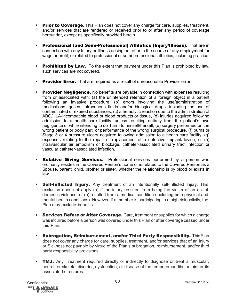- Prior to Coverage. This Plan does not cover any charge for care, supplies, treatment, and/or services that are rendered or received prior to or after any period of coverage hereunder, except as specifically provided herein.
- Professional (and Semi-Professional) Athletics (Injury/Illness). That are in connection with any Injury or Illness arising out of or in the course of any employment for wage or profit; or related to professional or semi-professional athletics, including practice.
- Prohibited by Law. To the extent that payment under this Plan is prohibited by law, such services are not covered.
- Provider Error. That are required as a result of unreasonable Provider error.
- Provider Negligence. No benefits are payable in connection with expenses resulting from or associated with: (a) the unintended retention of a foreign object in a patient following an invasive procedure, (b) errors involving the use/administration of medications, gases, intravenous fluids and/or biological drugs, including the use of contaminated or expired substances, (c) a hemolytic reaction due to the administration of ABO/HLA-incompatible blood or blood products or tissue, (d) injuries acquired following admission to a health care facility, unless resulting entirely from the patient's own negligence or while intending to do harm to himself/herself, (e) surgery performed on the wrong patient or body part, or performance of the wrong surgical procedure, (f) burns or Stage 3 or 4 pressure ulcers acquired following admission to a health care facility, (g) expenses relating to the repair or replacement of a defective implant/device, or (h) intravascular air embolism or blockage, catheter-associated urinary tract infection or vascular catheter-associated infection.
- Relative Giving Services**.** Professional services performed by a person who ordinarily resides in the Covered Person's home or is related to the Covered Person as a Spouse, parent, child, brother or sister, whether the relationship is by blood or exists in law.
- **Self-Inflicted Injury.** Any treatment of an intentionally self-inflicted Injury. This exclusion does not apply (a) if the injury resulted from being the victim of an act of domestic violence, or (b) resulted from a medical condition (including both physical and mental health conditions). However, if a member is participating in a high risk activity, the Plan may exclude benefits.
- Services Before or After Coverage. Care, treatment or supplies for which a charge was incurred before a person was covered under this Plan or after coverage ceased under this Plan.
- Subrogation, Reimbursement, and/or Third Party Responsibility. ThisPlan does not cover any charge for care, supplies, treatment, and/or services that of an Injury or Sickness not payable by virtue of the Plan's subrogation, reimbursement, and/or third party responsibility provisions.
- **TMJ.** Any Treatment required directly or indirectly to diagnose or treat a muscular, neural, or skeletal disorder, dysfunction, or disease of the temporomandibular joint or its associated structures.

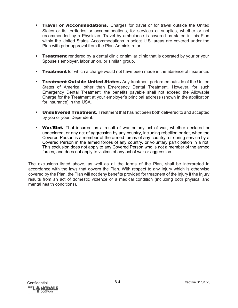- Travel or Accommodations. Charges for travel or for travel outside the United States or its territories or accommodations, for services or supplies, whether or not recommended by a Physician. Travel by ambulance is covered as stated in this Plan within the United States. Accommodations in select U.S. areas are covered under the Plan with prior approval from the Plan Administrator.
- Treatment rendered by a dental clinic or similar clinic that is operated by your or your Spouse's employer, labor union, or similar group.
- Treatment for which a charge would not have been made in the absence of insurance.
- Treatment Outside United States. Any treatment performed outside of the United States of America, other than Emergency Dental Treatment. However, for such Emergency Dental Treatment, the benefits payable shall not exceed the Allowable Charge for the Treatment at your employer's principal address (shown in the application for insurance) in the USA.
- Undelivered Treatment. Treatment that has not been both delivered to and accepted by you or your Dependent.
- War/Riot. That incurred as a result of war or any act of war, whether declared or undeclared, or any act of aggression by any country, including rebellion or riot, when the Covered Person is a member of the armed forces of any country, or during service by a Covered Person in the armed forces of any country, or voluntary participation in a riot. This exclusion does not apply to any Covered Person who is not a member of the armed forces, and does not apply to victims of any act of war or aggression.

The exclusions listed above, as well as all the terms of the Plan, shall be interpreted in accordance with the laws that govern the Plan. With respect to any Injury which is otherwise covered by the Plan, the Plan will not deny benefits provided for treatment of the Injury if the Injury results from an act of domestic violence or a medical condition (including both physical and mental health conditions).

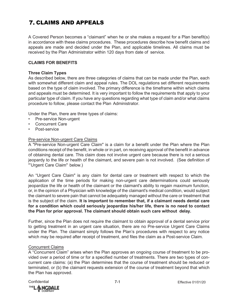# **7. CLAIMS AND APPEALS**

A Covered Person becomes a "claimant" when he or she makes a request for a Plan benefit(s) in accordance with these claims procedures. These procedures describe how benefit claims and appeals are made and decided under the Plan, and applicable timelines. All claims must be received by the Plan Administrator within 120 days from date of service.

# **CLAIMS FOR BENEFITS**

#### **Three Claim Types**

As described below, there are three categories of claims that can be made under the Plan, each with somewhat different claim and appeal rules. The DOL regulations set different requirements based on the type of claim involved. The primary difference is the timeframe within which claims and appeals must be determined. It is very important to follow the requirements that apply to your particular type of claim. If you have any questions regarding what type of claim and/or what claims procedure to follow, please contact the Plan Administrator.

Under the Plan, there are three types of claims:

- Pre-service Non-urgent
- Concurrent Care
- Post-service

#### Pre-service Non-urgent Care Claims

A "Pre-service Non-urgent Care Claim" is a claim for a benefit under the Plan where the Plan conditions receipt of the benefit, in whole or in part, on receiving approval of the benefit in advance of obtaining dental care. This claim does not involve urgent care because there is not a serious jeopardy to the life or health of the claimant, and severe pain is not involved. (See definition of "'Urgent Care Claim" below.)

An "Urgent Care Claim" is any claim for dental care or treatment with respect to which the application of the time periods for making non-urgent care determinations could seriously jeopardize the life or health of the claimant or the claimant's ability to regain maximum function, or, in the opinion of a Physician with knowledge of the claimant's medical condition, would subject the claimant to severe pain that cannot be adequately managed without the care or treatment that is the subject of the claim. **It is important to remember that, if a claimant needs dental care for a condition which could seriously jeopardize his/her life, there is no need to contact the Plan for prior approval. The claimant should obtain such care without delay.**

Further, since the Plan does not require the claimant to obtain approval of a dental service prior to getting treatment in an urgent care situation, there are no Pre-service Urgent Care Claims under the Plan. The claimant simply follows the Plan's procedures with respect to any notice which may be required after receipt of treatment, and files the claim as a Post-service Claim.

#### Concurrent Claims

A "Concurrent Claim" arises when the Plan approves an ongoing course of treatment to be provided over a period of time or for a specified number of treatments. There are two types of concurrent care claims: (a) the Plan determines that the course of treatment should be reduced or terminated, or (b) the claimant requests extension of the course of treatment beyond that which the Plan has approved.

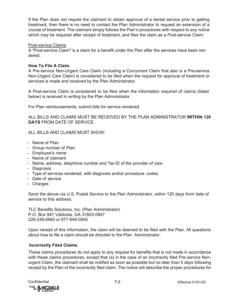If the Plan does not require the claimant to obtain approval of a dental service prior to getting treatment, then there is no need to contact the Plan Administrator to request an extension of a course of treatment. The claimant simply follows the Plan's procedures with respect to any notice which may be required after receipt of treatment, and files the claim as a Post-service Claim.

#### Post-service Claims

A "Post-service Claim" is a claim for a benefit under the Plan after the services have been rendered.

#### **How To File A Claim**

A Pre-service Non-Urgent Care Claim (including a Concurrent Claim that also is a Pre-service Non-Urgent Care Claim) is considered to be filed when the request for approval of treatment or services is made and received by the Plan Administrator.

A Post-service Claim is considered to be filed when the information required of claims (listed below) is received in writing by the Plan Administrator.

For Plan reimbursements, submit bills for service rendered.

ALL BILLS AND CLAIMS MUST BE RECEIVED BY THE PLAN ADMINISTRATOR **WITHIN 120 DAYS** FROM DATE OF SERVICE.

ALL BILLS AND CLAIMS MUST SHOW:

- Name of Plan
- Group number of Plan
- Employee's name
- Name of claimant
- Name, address, telephone number and Tax ID of the provider of care
- Diagnosis
- Type of services rendered, with diagnosis and/or procedure codes
- Date of service
- Charges

Send the above via U.S. Postal Service to the Plan Administrator, within 120 days from date of service to this address:

TLC Benefits Solutions, Inc. (Plan Administrator) P.O. Box 947 Valdosta, GA 31603-0947 229-249-0940 or 877-949-0940

Upon receipt of this information, the claim will be deemed to be filed with the Plan. All questions about how to file a claim should be directed to the Plan Administrator.

# **Incorrectly Filed Claims**

These claims procedures do not apply to any request for benefits that is not made in accordance with these claims procedures, except that (a) in the case of an incorrectly filed Pre-service Nonurgent Claim, the claimant shall be notified as soon as possible but no later than 5 days following receipt by the Plan of the incorrectly filed claim. The notice will describe the proper procedures for

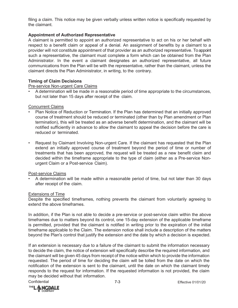filing a claim. This notice may be given verbally unless written notice is specifically requested by the claimant.

# **Appointment of Authorized Representative**

A claimant is permitted to appoint an authorized representative to act on his or her behalf with respect to a benefit claim or appeal of a denial. An assignment of benefits by a claimant to a provider will not constitute appointment of that provider as an authorized representative. To appoint such a representative, the claimant must complete a form which can be obtained from the Plan Administrator. In the event a claimant designates an authorized representative, all future communications from the Plan will be with the representative, rather than the claimant, unless the claimant directs the Plan Administrator, in writing, to the contrary.

# **Timing of Claim Decisions**

Pre-service Non-urgent Care Claims

• A determination will be made in a reasonable period of time appropriate to the circumstances, but not later than 15 days after receipt of the claim.

# Concurrent Claims

- Plan Notice of Reduction or Termination. If the Plan has determined that an initially approved course of treatment should be reduced or terminated (other than by Plan amendment or Plan termination), this will be treated as an adverse benefit determination, and the claimant will be notified sufficiently in advance to allow the claimant to appeal the decision before the care is reduced or terminated.
- Request by Claimant Involving Non-urgent Care. If the claimant has requested that the Plan extend an initially approved course of treatment beyond the period of time or number of treatments that has been approved, the request will be treated as a new benefit claim and decided within the timeframe appropriate to the type of claim (either as a Pre-service Nonurgent Claim or a Post-service Claim).

# Post-service Claims

• A determination will be made within a reasonable period of time, but not later than 30 days after receipt of the claim.

# Extensions of Time

Despite the specified timeframes, nothing prevents the claimant from voluntarily agreeing to extend the above timeframes.

In addition, if the Plan is not able to decide a pre-service or post-service claim within the above timeframes due to matters beyond its control, one 15-day extension of the applicable timeframe is permitted, provided that the claimant is notified in writing prior to the expiration of the initial timeframe applicable to the Claim. The extension notice shall include a description of the matters beyond the Plan's control that justify the extension and the date by which a decision is expected.

If an extension is necessary due to a failure of the claimant to submit the information necessary to decide the claim, the notice of extension will specifically describe the required information, and the claimant will be given 45 days from receipt of the notice within which to provide the information requested. The period of time for deciding the claim will be tolled from the date on which the notification of the extension is sent to the claimant, until the date on which the claimant timely responds to the request for information. If the requested information is not provided, the claim may be decided without that information.

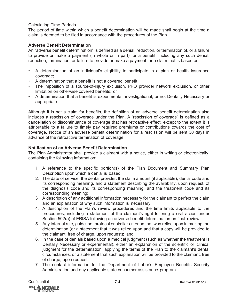# Calculating Time Periods

The period of time within which a benefit determination will be made shall begin at the time a claim is deemed to be filed in accordance with the procedures of the Plan.

# **Adverse Benefit Determination**

An "adverse benefit determination" is defined as a denial, reduction, or termination of, or a failure to provide or make a payment (in whole or in part) for a benefit, including any such denial, reduction, termination, or failure to provide or make a payment for a claim that is based on:

- A determination of an individual's eligibility to participate in a plan or health insurance coverage;
- A determination that a benefit is not a covered benefit;
- The imposition of a source-of-injury exclusion, PPO provider network exclusion, or other limitation on otherwise covered benefits; or
- A determination that a benefit is experimental, investigational, or not Dentally Necessary or appropriate.

Although it is not a claim for benefits, the definition of an adverse benefit determination also includes a rescission of coverage under the Plan. A "rescission of coverage" is defined as a cancellation or discontinuance of coverage that has retroactive effect, except to the extent it is attributable to a failure to timely pay required premiums or contributions towards the cost of coverage. Notice of an adverse benefit determination for a rescission will be sent 30 days in advance of the retroactive termination of coverage.

# **Notification of an Adverse Benefit Determination**

The Plan Administrator shall provide a claimant with a notice, either in writing or electronically, containing the following information:

- 1. A reference to the specific portion(s) of the Plan Document and Summary Plan Description upon which a denial is based;
- 2. The date of service, the dental provider, the claim amount (if applicable), denial code and its corresponding meaning, and a statement describing the availability, upon request, of the diagnosis code and its corresponding meaning, and the treatment code and its corresponding meaning;
- 3. A description of any additional information necessary for the claimant to perfect the claim and an explanation of why such information is necessary;
- 4. A description of the Plan's review procedures and the time limits applicable to the procedures, including a statement of the claimant's right to bring a civil action under Section 502(a) of ERISA following an adverse benefit determination on final review;
- 5. Any internal rule, guideline, protocol or similar criterion that was relied upon in making the determination (or a statement that it was relied upon and that a copy will be provided to the claimant, free of charge, upon request); and
- 6. In the case of denials based upon a medical judgment (such as whether the treatment is Dentally Necessary or experimental), either an explanation of the scientific or clinical judgment for the determination, applying the terms of the Plan to the claimant's dental circumstances, or a statement that such explanation will be provided to the claimant, free of charge, upon request.
- 7. The contact information for the Department of Labor's Employee Benefits Security Administration and any applicable state consumer assistance program.

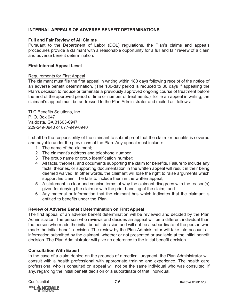# **INTERNAL APPEALS OF ADVERSE BENEFIT DETERMINATIONS**

# **Full and Fair Review of All Claims**

Pursuant to the Department of Labor (DOL) regulations, the Plan's claims and appeals procedures provide a claimant with a reasonable opportunity for a full and fair review of a claim and adverse benefit determination.

# **First Internal Appeal Level**

# Requirements for First Appeal

The claimant must file the first appeal in writing within 180 days following receipt of the notice of an adverse benefit determination. (The 180-day period is reduced to 30 days if appealing the Plan's decision to reduce or terminate a previously approved ongoing course of treatment before the end of the approved period of time or number of treatments.) To file an appeal in writing, the claimant's appeal must be addressed to the Plan Administrator and mailed as follows:

TLC Benefits Solutions, Inc. P. O. Box 947 Valdosta, GA 31603-0947 229-249-0940 or 877-949-0940

It shall be the responsibility of the claimant to submit proof that the claim for benefits is covered and payable under the provisions of the Plan. Any appeal must include:

- 1. The name of the claimant;
- 2. The claimant's address and telephone number
- 3. The group name or group identification number;
- 4. All facts, theories, and documents supporting the claim for benefits. Failure to include any facts, theories, or supporting documentation in the written appeal will result in their being deemed waived. In other words, the claimant will lose the right to raise arguments which support his claim if he fails to include them in the written appeal;
- 5. A statement in clear and concise terms of why the claimant disagrees with the reason(s) given for denying the claim or with the prior handling of the claim; and
- 6. Any material or information that the claimant has which indicates that the claimant is entitled to benefits under the Plan.

# **Review of Adverse Benefit Determination on First Appeal**

The first appeal of an adverse benefit determination will be reviewed and decided by the Plan Administrator. The person who reviews and decides an appeal will be a different individual than the person who made the initial benefit decision and will not be a subordinate of the person who made the initial benefit decision. The review by the Plan Administrator will take into account all information submitted by the claimant, whether or not presented or available at the initial benefit decision. The Plan Administrator will give no deference to the initial benefit decision.

# **Consultation With Expert**

In the case of a claim denied on the grounds of a medical judgment, the Plan Administrator will consult with a health professional with appropriate training and experience. The health care professional who is consulted on appeal will not be the same individual who was consulted, if any, regarding the initial benefit decision or a subordinate of that individual.

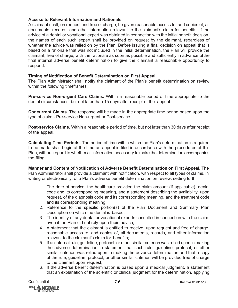# **Access to Relevant Information and Rationale**

A claimant shall, on request and free of charge, be given reasonable access to, and copies of, all documents, records, and other information relevant to the claimant's claim for benefits. If the advice of a dental or vocational expert was obtained in connection with the initial benefit decision, the names of each such expert shall be provided on request by the claimant, regardless of whether the advice was relied on by the Plan. Before issuing a final decision on appeal that is based on a rationale that was not included in the initial determination, the Plan will provide the claimant, free of charge, with the rationale as soon as possible and sufficiently in advance ofthe final internal adverse benefit determination to give the claimant a reasonable opportunity to respond.

## **Timing of Notification of Benefit Determination on First Appeal**

The Plan Administrator shall notify the claimant of the Plan's benefit determination on review within the following timeframes:

**Pre-service Non-urgent Care Claims.** Within a reasonable period of time appropriate to the dental circumstances, but not later than 15 days after receipt of the appeal.

**Concurrent Claims.** The response will be made in the appropriate time period based upon the type of claim - Pre-service Non-urgent or Post-service.

**Post-service Claims.** Within a reasonable period of time, but not later than 30 days after receipt of the appeal.

**Calculating Time Periods.** The period of time within which the Plan's determination is required to be made shall begin at the time an appeal is filed in accordance with the procedures of this Plan, without regard to whether all information necessary to make the determination accompanies the filing.

**Manner and Content of Notification of Adverse Benefit Determination on First Appeal.** The Plan Administrator shall provide a claimant with notification, with respect to all types of claims, in writing or electronically, of a Plan's adverse benefit determination on review, setting forth:

- 1. The date of service, the healthcare provider, the claim amount (if applicable), denial code and its corresponding meaning, and a statement describing the availability, upon request, of the diagnosis code and its corresponding meaning, and the treatment code and its corresponding meaning;
- 2. Reference to the specific portion(s) of the Plan Document and Summary Plan Description on which the denial is based;
- 3. The identity of any dental or vocational experts consulted in connection with the claim, even if the Plan did not rely upon their advice;
- 4. A statement that the claimant is entitled to receive, upon request and free of charge, reasonable access to, and copies of, all documents, records, and other information relevant to the claimant's claim for benefits;
- 5. If an internal rule, guideline, protocol, or other similar criterion was relied upon in making the adverse determination, a statement that such rule, guideline, protocol, or other similar criterion was relied upon in making the adverse determination and that a copy of the rule, guideline, protocol, or other similar criterion will be provided free of charge to the claimant upon request;
- 6. If the adverse benefit determination is based upon a medical judgment, a statement that an explanation of the scientific or clinical judgment for the determination, applying

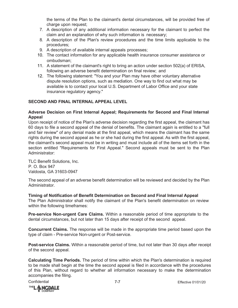the terms of the Plan to the claimant's dental circumstances, will be provided free of charge upon request:

- 7. A description of any additional information necessary for the claimant to perfect the claim and an explanation of why such information is necessary;
- 8. A description of the Plan's review procedures and the time limits applicable to the procedures;
- 9. A description of available internal appeals processes;
- 10. The contact information for any applicable health insurance consumer assistance or ombudsman;
- 11. A statement of the claimant's right to bring an action under section 502(a) of ERISA, following an adverse benefit determination on final review; and
- 12. The following statement: "You and your Plan may have other voluntary alternative dispute resolution options, such as mediation. One way to find out what may be available is to contact your local U.S. Department of Labor Office and your state insurance regulatory agency."

# **SECOND AND FINAL INTERNAL APPEAL LEVEL**

# **Adverse Decision on First Internal Appeal; Requirements for Second and Final Internal Appeal**

Upon receipt of notice of the Plan's adverse decision regarding the first appeal, the claimant has 60 days to file a second appeal of the denial of benefits. The claimant again is entitled to a "full and fair review" of any denial made at the first appeal, which means the claimant has the same rights during the second appeal as he or she had during the first appeal. As with the first appeal, the claimant's second appeal must be in writing and must include all of the items set forth in the section entitled "Requirements for First Appeal." Second appeals must be sent to the Plan Administrator:

TLC Benefit Solutions, Inc. P. O. Box 947 Valdosta, GA 31603-0947

The second appeal of an adverse benefit determination will be reviewed and decided by the Plan Administrator.

# **Timing of Notification of Benefit Determination on Second and Final Internal Appeal**

The Plan Administrator shall notify the claimant of the Plan's benefit determination on review within the following timeframes:

**Pre-service Non-urgent Care Claims.** Within a reasonable period of time appropriate to the dental circumstances, but not later than 15 days after receipt of the second appeal.

**Concurrent Claims.** The response will be made in the appropriate time period based upon the type of claim - Pre-service Non-urgent or Post-service.

**Post-service Claims.** Within a reasonable period of time, but not later than 30 days after receipt of the second appeal.

**Calculating Time Periods.** The period of time within which the Plan's determination is required to be made shall begin at the time the second appeal is filed in accordance with the procedures of this Plan, without regard to whether all information necessary to make the determination accompanies the filing.

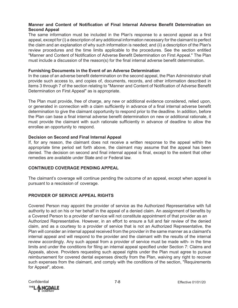# **Manner and Content of Notification of Final Internal Adverse Benefit Determination on Second Appeal**

The same information must be included in the Plan's response to a second appeal as a first appeal, except for (i) a description of any additional information necessary for the claimant to perfect the claim and an explanation of why such information is needed; and (ii) a description of the Plan's review procedures and the time limits applicable to the procedures. See the section entitled "Manner and Content of Notification of Adverse Benefit Determination on First Appeal." The Plan must include a discussion of the reason(s) for the final internal adverse benefit determination.

# **Furnishing Documents in the Event of an Adverse Determination**

In the case of an adverse benefit determination on the second appeal, the Plan Administrator shall provide such access to, and copies of, documents, records, and other information described in items 3 through 7 of the section relating to "Manner and Content of Notification of Adverse Benefit Determination on First Appeal" as is appropriate.

The Plan must provide, free of charge, any new or additional evidence considered, relied upon, or generated in connection with a claim sufficiently in advance of a final internal adverse benefit determination to give the claimant opportunity to respond prior to the deadline. In addition, before the Plan can base a final internal adverse benefit determination on new or additional rationale, it must provide the claimant with such rationale sufficiently in advance of deadline to allow the enrollee an opportunity to respond.

# **Decision on Second and Final Internal Appeal**

If, for any reason, the claimant does not receive a written response to the appeal within the appropriate time period set forth above, the claimant may assume that the appeal has been denied. The decision on second and final internal appeal is final, except to the extent that other remedies are available under State and or Federal law.

# **CONTINUED COVERAGE PENDING APPEAL**

The claimant's coverage will continue pending the outcome of an appeal, except when appeal is pursuant to a rescission of coverage.

# **PROVIDER OF SERVICE APPEAL RIGHTS**

Covered Person may appoint the provider of service as the Authorized Representative with full authority to act on his or her behalf in the appeal of a denied claim. An assignment of benefits by a Covered Person to a provider of service will not constitute appointment of that provider as an Authorized Representative. However, in an effort to ensure a full and fair review of the denied claim, and as a courtesy to a provider of service that is not an Authorized Representative, the Plan will consider an internal appeal received from the provider in the same manner as a claimant's internal appeal and will respond to the provider and the claimant with the results of the internal review accordingly. Any such appeal from a provider of service must be made with- in the time limits and under the conditions for filing an internal appeal specified under Section 7: Claims and Appeals, above. Providers requesting such appeal rights under the Plan must agree to pursue reimbursement for covered dental expenses directly from the Plan, waiving any right to recover such expenses from the claimant, and comply with the conditions of the section, "Requirements for Appeal", above.

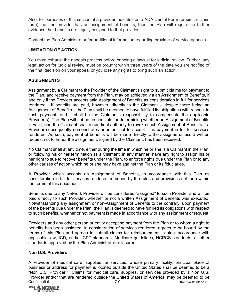Also, for purposes of this section, if a provider indicates on a ADA Dental Form (or similar claim form) that the provider has an assignment of benefits, then the Plan will require no further evidence that benefits are legally assigned to that provider.

Contact the Plan Administrator for additional information regarding provider of service appeals.

# **LIMITATION OF ACTION**

You must exhaust the appeals process before bringing a lawsuit for judicial review. Further, any legal action for judicial review must be brought within three years of the date you are notified of the final decision on your appeal or you lose any rights to bring such an action.

# **ASSIGNMENTS**

Assignment by a Claimant to the Provider of the Claimant's right to submit claims for payment to the Plan, and receive payment from the Plan, may be achieved via an Assignment of Benefits, if and only if the Provider accepts said Assignment of Benefits as consideration in full for services rendered. If benefits are paid, however, directly to the Claimant – despite there being an Assignment of Benefits – the Plan shall be deemed to have fulfilled its obligations with respect to such payment, and it shall be the Claimant's responsibility to compensate the applicable Provider(s). The Plan will not be responsible for determining whether an Assignment of Benefits is valid; and the Claimant shall retain final authority to revoke such Assignment of Benefits if a Provider subsequently demonstrates an intent not to accept it as payment in full for services rendered. As such, payment of benefits will be made directly to the assignee unless a written request not to honor the assignment, signed by the Claimant, has been received.

No Claimant shall at any time, either during the time in which he or she is a Claimant in the Plan, or following his or her termination as a Claimant, in any manner, have any right to assign his or her right to sue to recover benefits under the Plan, to enforce rights due under the Plan or to any other causes of action which he or she may have against the Plan or its fiduciaries.

A Provider which accepts an Assignment of Benefits, in accordance with this Plan as consideration in full for services rendered, is bound by the rules and provisions set forth within the terms of this document.

Benefits due to any Network Provider will be considered "assigned" to such Provider and will be paid directly to such Provider, whether or not a written Assignment of Benefits was executed. Notwithstanding any assignment or non-Assignment of Benefits to the contrary, upon payment of the benefits due under the Plan, the Plan is deemed to have fulfilled its obligations with respect to such benefits, whether or not payment is made in accordance with any assignment or request.

Providers and any other person or entity accepting payment from the Plan or to whom a right to benefits has been assigned, in consideration of services rendered, agrees to be bound by the terms of this Plan and agrees to submit claims for reimbursement in strict accordance with applicable law, ICD, and/or CPT standards, Medicare guidelines, HCPCS standards, or other standards approved by the Plan Administrator or insurer.

# **Non U.S. Providers**

Confidential 7-9 Effective 01/01/20 A Provider of medical care, supplies, or services, whose primary facility, principal place of business or address for payment is located outside the United States shall be deemed to be a "Non U.S. Provider." Claims for medical care, supplies, or services provided by a Non U.S. Provider and/or that are rendered outside the United States of America, may be deemed to be

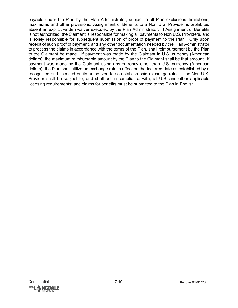payable under the Plan by the Plan Administrator, subject to all Plan exclusions, limitations, maximums and other provisions. Assignment of Benefits to a Non U.S. Provider is prohibited absent an explicit written waiver executed by the Plan Administrator. If Assignment of Benefits is not authorized, the Claimant is responsible for making all payments to Non U.S. Providers, and is solely responsible for subsequent submission of proof of payment to the Plan. Only upon receipt of such proof of payment, and any other documentation needed by the Plan Administrator to process the claims in accordance with the terms of the Plan, shall reimbursement by the Plan to the Claimant be made. If payment was made by the Claimant in U.S. currency (American dollars), the maximum reimbursable amount by the Plan to the Claimant shall be that amount. If payment was made by the Claimant using any currency other than U.S. currency (American dollars), the Plan shall utilize an exchange rate in effect on the Incurred date as established by a recognized and licensed entity authorized to so establish said exchange rates. The Non U.S. Provider shall be subject to, and shall act in compliance with, all U.S. and other applicable licensing requirements; and claims for benefits must be submitted to the Plan in English.

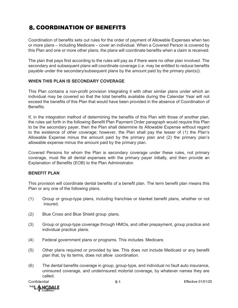# **8. COORDINATION OF BENEFITS**

Coordination of benefits sets out rules for the order of payment of Allowable Expenses when two or more plans – including Medicare – cover an individual. When a Covered Person is covered by this Plan and one or more other plans, the plans will coordinate benefits when a claim is received.

The plan that pays first according to the rules will pay as if there were no other plan involved. The secondary and subsequent plans will coordinate coverage (i.e. may be entitled to reduce benefits payable under the secondary/subsequent plans by the amount paid by the primary plan(s)).

# **WHEN THIS PLAN IS SECONDARY COVERAGE**

This Plan contains a non-profit provision integrating it with other similar plans under which an individual may be covered so that the total benefits available during the Calendar Year will not exceed the benefits of this Plan that would have been provided in the absence of Coordination of Benefits.

If, in the integration method of determining the benefits of this Plan with those of another plan, the rules set forth in the following Benefit Plan Payment Order paragraph would require this Plan to be the secondary payer, then the Plan shall determine its Allowable Expense without regard to the existence of other coverage; however, the Plan shall pay the lesser of (1) the Plan's Allowable Expense minus the amount paid by the primary plan and (2) the primary plan's allowable expense minus the amount paid by the primary plan.

Covered Persons for whom the Plan is secondary coverage under these rules, not primary coverage, must file all dental expenses with the primary payer initially, and then provide an Explanation of Benefits (EOB) to the Plan Administrator.

# **BENEFIT PLAN**

This provision will coordinate dental benefits of a benefit plan. The term benefit plan means this Plan or any one of the following plans.

- (1) Group or group-type plans, including franchise or blanket benefit plans, whether or not insured.
- (2) Blue Cross and Blue Shield group plans.
- (3) Group or group-type coverage through HMOs, and other prepayment, group practice and individual practice plans.
- (4) Federal government plans or programs. This includes Medicare.
- (5) Other plans required or provided by law. This does not include Medicaid or any benefit plan that, by its terms, does not allow coordination.
- (6) The dental benefits coverage in group, group-type, and individual no fault auto insurance, uninsured coverage, and underinsured motorist coverage, by whatever names they are called.

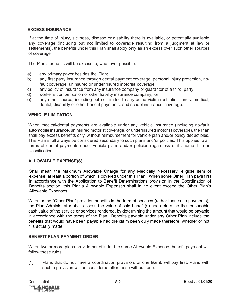# **EXCESS INSURANCE**

If at the time of injury, sickness, disease or disability there is available, or potentially available any coverage (including but not limited to coverage resulting from a judgment at law or settlements), the benefits under this Plan shall apply only as an excess over such other sources of coverage.

The Plan's benefits will be excess to, whenever possible:

- a) any primary payer besides the Plan;
- b) any first party insurance through dental payment coverage, personal injury protection, nofault coverage, uninsured or underinsured motorist coverage;
- c) any policy of insurance from any insurance company or guarantor of a third party;
- d) worker's compensation or other liability insurance company; or
- e) any other source, including but not limited to any crime victim restitution funds, medical, dental, disability or other benefit payments, and school insurance coverage.

#### **VEHICLE LIMITATION**

When medical/dental payments are available under any vehicle insurance (including no-fault automobile insurance, uninsured motorist coverage, or underinsured motorist coverage), the Plan shall pay excess benefits only, without reimbursement for vehicle plan and/or policy deductibles. This Plan shall always be considered secondary to such plans and/or policies. This applies to all forms of dental payments under vehicle plans and/or policies regardless of its name, title or classification.

#### **ALLOWABLE EXPENSE(S)**

Shall mean the Maximum Allowable Charge for any Medically Necessary, eligible item of expense, at least a portion of which is covered under this Plan. When some Other Plan pays first in accordance with the Application to Benefit Determinations provision in the Coordination of Benefits section, this Plan's Allowable Expenses shall in no event exceed the Other Plan's Allowable Expenses.

When some "Other Plan" provides benefits in the form of services (rather than cash payments), the Plan Administrator shall assess the value of said benefit(s) and determine the reasonable cash value of the service or services rendered, by determining the amount that would be payable in accordance with the terms of the Plan. Benefits payable under any Other Plan include the benefits that would have been payable had the claim been duly made therefore, whether or not it is actually made.

# **BENEFIT PLAN PAYMENT ORDER**

When two or more plans provide benefits for the same Allowable Expense, benefit payment will follow these rules:

(1) Plans that do not have a coordination provision, or one like it, will pay first. Plans with such a provision will be considered after those without one.

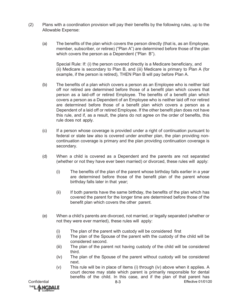- (2) Plans with a coordination provision will pay their benefits by the following rules, up to the Allowable Expense:
	- (a) The benefits of the plan which covers the person directly (that is, as an Employee, member, subscriber, or retiree) ("Plan A") are determined before those of the plan which covers the person as a Dependent ("Plan B").

Special Rule: If: (i) the person covered directly is a Medicare beneficiary, and (ii) Medicare is secondary to Plan B, and (iii) Medicare is primary to Plan A (for example, if the person is retired), THEN Plan B will pay before Plan A.

- (b) The benefits of a plan which covers a person as an Employee who is neither laid off nor retired are determined before those of a benefit plan which covers that person as a laid-off or retired Employee. The benefits of a benefit plan which covers a person as a Dependent of an Employee who is neither laid off nor retired are determined before those of a benefit plan which covers a person as a Dependent of a laid off or retired Employee. If the other benefit plan does not have this rule, and if, as a result, the plans do not agree on the order of benefits, this rule does not apply.
- (c) If a person whose coverage is provided under a right of continuation pursuant to federal or state law also is covered under another plan, the plan providing noncontinuation coverage is primary and the plan providing continuation coverage is secondary.
- (d) When a child is covered as a Dependent and the parents are not separated (whether or not they have ever been married) or divorced, these rules will apply:
	- (i) The benefits of the plan of the parent whose birthday falls earlier in a year are determined before those of the benefit plan of the parent whose birthday falls later in that year;
	- (ii) If both parents have the same birthday, the benefits of the plan which has covered the parent for the longer time are determined before those of the benefit plan which covers the other parent.
- (e) When a child's parents are divorced, not married, or legally separated (whether or not they were ever married), these rules will apply:
	- (i) The plan of the parent with custody will be considered first
	- (ii) The plan of the Spouse of the parent with the custody of the child will be considered second.
	- (iii) The plan of the parent not having custody of the child will be considered third.
	- (iv) The plan of the Spouse of the parent without custody will be considered next.
	- (v) This rule will be in place of items (i) through (iv) above when it applies. A court decree may state which parent is primarily responsible for dental benefits of the child. In this case, and if the plan of that parent has

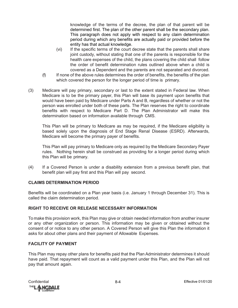knowledge of the terms of the decree, the plan of that parent will be determined first. The plan of the other parent shall be the secondary plan. This paragraph does not apply with respect to any claim determination period during which any benefits are actually paid or provided before the entity has that actual knowledge.

- (vi) If the specific terms of the court decree state that the parents shall share joint custody, without stating that one of the parents is responsible for the health care expenses of the child, the plans covering the child shall follow the order of benefit determination rules outlined above when a child is covered as a Dependent and the parents are not separated and divorced.
- (f) If none of the above rules determines the order of benefits, the benefits of the plan which covered the person for the longer period of time is primary.
- (3) Medicare will pay primary, secondary or last to the extent stated in Federal law. When Medicare is to be the primary payer, this Plan will base its payment upon benefits that would have been paid by Medicare under Parts A and B, regardless of whether or not the person was enrolled under both of these parts. The Plan reserves the right to coordinate benefits with respect to Medicare Part D. The Plan Administrator will make this determination based on information available through CMS.

This Plan will be primary to Medicare as may be required, if the Medicare eligibility is based solely upon the diagnosis of End Stage Renal Disease (ESRD). Afterwards, Medicare will become the primary payer of benefits.

This Plan will pay primary to Medicare only as required by the Medicare Secondary Payer rules. Nothing herein shall be construed as providing for a longer period during which this Plan will be primary.

(4) If a Covered Person is under a disability extension from a previous benefit plan, that benefit plan will pay first and this Plan will pay second.

# **CLAIMS DETERMINATION PERIOD**

Benefits will be coordinated on a Plan year basis (i.e. January 1 through December 31). This is called the claim determination period.

# **RIGHT TO RECEIVE OR RELEASE NECESSARY INFORMATION**

To make this provision work, this Plan may give or obtain needed information from another insurer or any other organization or person. This information may be given or obtained without the consent of or notice to any other person. A Covered Person will give this Plan the information it asks for about other plans and their payment of Allowable Expenses.

# **FACILITY OF PAYMENT**

This Plan may repay other plans for benefits paid that the Plan Administrator determines it should have paid. That repayment will count as a valid payment under this Plan, and the Plan will not pay that amount again.

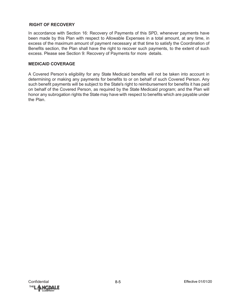# **RIGHT OF RECOVERY**

In accordance with Section 16: Recovery of Payments of this SPD, whenever payments have been made by this Plan with respect to Allowable Expenses in a total amount, at any time, in excess of the maximum amount of payment necessary at that time to satisfy the Coordination of Benefits section, the Plan shall have the right to recover such payments, to the extent of such excess. Please see Section 9: Recovery of Payments for more details.

# **MEDICAID COVERAGE**

A Covered Person's eligibility for any State Medicaid benefits will not be taken into account in determining or making any payments for benefits to or on behalf of such Covered Person. Any such benefit payments will be subject to the State's right to reimbursement for benefits it has paid on behalf of the Covered Person, as required by the State Medicaid program; and the Plan will honor any subrogation rights the State may have with respect to benefits which are payable under the Plan.

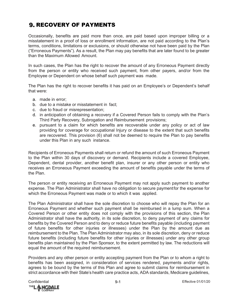# **9. RECOVERY OF PAYMENTS**

Occasionally, benefits are paid more than once, are paid based upon improper billing or a misstatement in a proof of loss or enrollment information, are not paid according to the Plan's terms, conditions, limitations or exclusions, or should otherwise not have been paid by the Plan ("Erroneous Payments"). As a result, the Plan may pay benefits that are later found to be greater than the Maximum Allowed Amount.

In such cases, the Plan has the right to recover the amount of any Erroneous Payment directly from the person or entity who received such payment, from other payers, and/or from the Employee or Dependent on whose behalf such payment was made.

The Plan has the right to recover benefits it has paid on an Employee's or Dependent's behalf that were:

- a. made in error;
- b. due to a mistake or misstatement in fact;
- c. due to fraud or misrepresentation;
- d. in anticipation of obtaining a recovery if a Covered Person fails to comply with the Plan's Third Party Recovery, Subrogation and Reimbursement provisions;
- e. pursuant to a claim for which benefits are recoverable under any policy or act of law providing for coverage for occupational Injury or disease to the extent that such benefits are recovered. This provision (6) shall not be deemed to require the Plan to pay benefits under this Plan in any such instance.

Recipients of Erroneous Payments shall return or refund the amount of such Erroneous Payment to the Plan within 30 days of discovery or demand. Recipients include a covered Employee, Dependent, dental provider, another benefit plan, insurer or any other person or entity who receives an Erroneous Payment exceeding the amount of benefits payable under the terms of the Plan.

The person or entity receiving an Erroneous Payment may not apply such payment to another expense. The Plan Administrator shall have no obligation to secure paymentfor the expense for which the Erroneous Payment was made or to which it was applied.

The Plan Administrator shall have the sole discretion to choose who will repay the Plan for an Erroneous Payment and whether such payment shall be reimbursed in a lump sum. When a Covered Person or other entity does not comply with the provisions of this section, the Plan Administrator shall have the authority, in its sole discretion, to deny payment of any claims for benefits by the Covered Person and to deny or reduce future benefits payable (including payment of future benefits for other injuries or illnesses) under the Plan by the amount due as reimbursement to the Plan. The Plan Administrator may also, in its sole discretion, deny or reduce future benefits (including future benefits for other injuries or illnesses) under any other group benefits plan maintained by the Plan Sponsor, to the extent permitted by law. The reductions will equal the amount of the required reimbursement.

Providers and any other person or entity accepting payment from the Plan or to whom a right to benefits has been assigned, in consideration of services rendered, payments and/or rights, agrees to be bound by the terms of this Plan and agree to submit claims for reimbursement in strict accordance with their State's health care practice acts, ADA standards, Medicare guidelines,

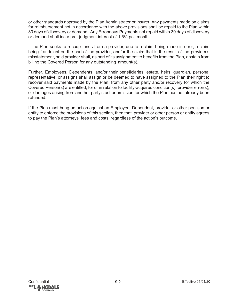or other standards approved by the Plan Administrator or insurer. Any payments made on claims for reimbursement not in accordance with the above provisions shall be repaid to the Plan within 30 days of discovery or demand. Any Erroneous Payments not repaid within 30 days of discovery or demand shall incur pre- judgment interest of 1.5% per month.

If the Plan seeks to recoup funds from a provider, due to a claim being made in error, a claim being fraudulent on the part of the provider, and/or the claim that is the result of the provider's misstatement, said provider shall, as part of its assignment to benefits from the Plan, abstain from billing the Covered Person for any outstanding amount(s).

Further, Employees, Dependents, and/or their beneficiaries, estate, heirs, guardian, personal representative, or assigns shall assign or be deemed to have assigned to the Plan their right to recover said payments made by the Plan, from any other party and/or recovery for which the Covered Person(s) are entitled, for or in relation to facility-acquired condition(s), provider error(s), or damages arising from another party's act or omission for which the Plan has not already been refunded.

If the Plan must bring an action against an Employee, Dependent, provider or other per- son or entity to enforce the provisions of this section, then that, provider or other person or entity agrees to pay the Plan's attorneys' fees and costs, regardless of the action's outcome.

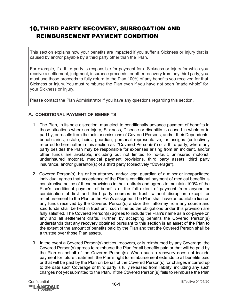# **10. THIRD PARTY RECOVERY, SUBROGATION AND** REIMBURSEMENT PAYMENT CONDITION

This section explains how your benefits are impacted if you suffer a Sickness or Injury that is caused by and/or payable by a third party other than the Plan.

For example, if a third party is responsible for payment for a Sickness or Injury for which you receive a settlement, judgment, insurance proceeds, or other recovery from any third party, you must use those proceeds to fully return to the Plan 100% of any benefits you received for that Sickness or Injury. You must reimburse the Plan even if you have not been "made whole" for your Sickness or Injury.

Please contact the Plan Administrator if you have any questions regarding this section.

# **A. CONDITIONAL PAYMENT OF BENEFITS**

- 1. The Plan, in its sole discretion, may elect to conditionally advance payment of benefits in those situations where an Injury, Sickness, Disease or disability is caused in whole or in part by, or results from the acts or omissions of Covered Persons, and/or their Dependents, beneficiaries, estate, heirs, guardian, personal representative, or assigns (collectively referred to hereinafter in this section as "Covered Person(s)") or a third party, where any party besides the Plan may be responsible for expenses arising from an incident, and/or other funds are available, including but not limited to no-fault, uninsured motorist, underinsured motorist, medical payment provisions, third party assets, third party insurance, and/or guarantor(s) of a third party (collectively "Coverage").
- 2. Covered Person(s), his or her attorney, and/or legal guardian of a minor or incapacitated individual agrees that acceptance of the Plan's conditional payment of medical benefits is constructive notice of these provisions in their entirety and agrees to maintain 100% of the Plan's conditional payment of benefits or the full extent of payment from anyone or combination of first and third party sources in trust, without disruption except for reimbursement to the Plan or the Plan's assignee. The Plan shall have an equitable lien on any funds received by the Covered Person(s) and/or their attorney from any source and said funds shall be held in trust until such time as the obligations under this provision are fully satisfied. The Covered Person(s) agrees to include the Plan's name as a co-payee on any and all settlement drafts. Further, by accepting benefits the Covered Person(s) understands that any recovery obtained pursuant to this section is an asset of the Plan to the extent of the amount of benefits paid by the Plan and that the Covered Person shall be a trustee over those Plan assets.
- 3. In the event a Covered Person(s) settles, recovers, or is reimbursed by any Coverage, the Covered Person(s) agrees to reimburse the Plan for all benefits paid or that will be paid by the Plan on behalf of the Covered Person(s). When such a recovery does not include payment for future treatment, the Plan's right to reimbursement extends to all benefits paid or that will be paid by the Plan on behalf of the Covered Person(s) for charges incurred up to the date such Coverage or third party is fully released from liability, including any such charges not yet submitted to the Plan. If the Covered Person(s) fails to reimburse the Plan

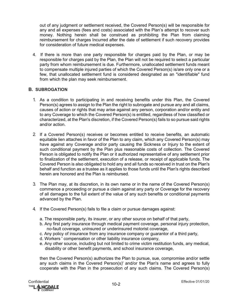out of any judgment or settlement received, the Covered Person(s) will be responsible for any and all expenses (fees and costs) associated with the Plan's attempt to recover such money. Nothing herein shall be construed as prohibiting the Plan from claiming reimbursement for charges Incurred after the date of settlement if such recovery provides for consideration of future medical expenses.

4. If there is more than one party responsible for charges paid by the Plan, or may be responsible for charges paid by the Plan, the Plan will not be required to select a particular party from whom reimbursement is due. Furthermore, unallocated settlement funds meant to compensate multiple injured parties of which the Covered Person(s) is/are only one or a few, that unallocated settlement fund is considered designated as an "identifiable" fund from which the plan may seek reimbursement.

# **B. SUBROGATION**

- 1. As a condition to participating in and receiving benefits under this Plan, the Covered Person(s) agrees to assign to the Plan the right to subrogate and pursue any and all claims, causes of action or rights that may arise against any person, corporation and/or entity and to any Coverage to which the Covered Person(s) is entitled, regardless of how classified or characterized, at the Plan's discretion, if the Covered Person(s) fails to so pursue said rights and/or action.
- 2. If a Covered Person(s) receives or becomes entitled to receive benefits, an automatic equitable lien attaches in favor of the Plan to any claim, which any Covered Person(s) may have against any Coverage and/or party causing the Sickness or Injury to the extent of such conditional payment by the Plan plus reasonable costs of collection. The Covered Person is obligated to notify the Plan or it authorized representative of any settlement prior to finalization of the settlement, execution of a release, or receipt of applicable funds. The Covered Person is also obligated to hold any and all funds so received in trust on the Plan's behalf and function as a trustee as it applies to those funds until the Plan's rights described herein are honored and the Plan is reimbursed.
- 3. The Plan may, at its discretion, in its own name or in the name of the Covered Person(s) commence a proceeding or pursue a claim against any party or Coverage for the recovery of all damages to the full extent of the value of any such benefits or conditional payments advanced by the Plan.
- 4. If the Covered Person(s) fails to file a claim or pursue damages against:
	- a. The responsible party, its insurer, or any other source on behalf of that party,
	- b. Any first party insurance through medical payment coverage, personal injury protection, no-fault coverage, uninsured or underinsured motorist coverage,
	- c. Any policy of insurance from any insurance company or guarantor of a third party,
	- d. Workers ' compensation or other liability insurance company,
	- e. Any other source, including but not limited to crime victim restitution funds, any medical, disability or other benefit payments, and school insurance coverage,

then the Covered Person(s) authorizes the Plan to pursue, sue, compromise and/or settle any such claims in the Covered Person(s)' and/or the Plan's name and agrees to fully cooperate with the Plan in the prosecution of any such claims. The Covered Person(s)

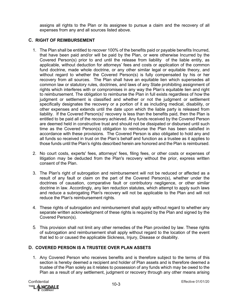assigns all rights to the Plan or its assignee to pursue a claim and the recovery of all expenses from any and all sources listed above.

# **C. RIGHT OF REIMBURSEMENT**

- 1. The Plan shall be entitled to recover 100% of the benefits paid or payable benefits Incurred, that have been paid and/or will be paid by the Plan, or were otherwise Incurred by the Covered Person(s) prior to and until the release from liability of the liable entity, as applicable, without deduction for attorneys' fees and costs or application of the common fund doctrine, made whole doctrine, or any other similar legal or equitable theory, and without regard to whether the Covered Person(s) is fully compensated by his or her recovery from all sources. The Plan shall have an equitable lien which supersedes all common law or statutory rules, doctrines, and laws of any State prohibiting assignment of rights which interferes with or compromises in any way the Plan's equitable lien and right to reimbursement. The obligation to reimburse the Plan in full exists regardless of how the judgment or settlement is classified and whether or not the judgment or settlement specifically designates the recovery or a portion of it as including medical, disability, or other expenses and extends until the date upon which the liable party is released from liability. If the Covered Person(s)' recovery is less than the benefits paid, then the Plan is entitled to be paid all of the recovery achieved. Any funds received by the Covered Person are deemed held in constructive trust and should not be dissipated or disbursed until such time as the Covered Person(s) obligation to reimburse the Plan has been satisfied in accordance with these provisions. The Covered Person is also obligated to hold any and all funds so received in trust on the Plan's behalf and function as a trustee as it applies to those funds until the Plan's rights described herein are honored and the Plan is reimbursed.
- 2. No court costs, experts' fees, attorneys' fees, filing fees, or other costs or expenses of litigation may be deducted from the Plan's recovery without the prior, express written consent of the Plan.
- 3. The Plan's right of subrogation and reimbursement will not be reduced or affected as a result of any fault or claim on the part of the Covered Person(s), whether under the doctrines of causation, comparative fault or contributory negligence, or other similar doctrine in law. Accordingly, any lien reduction statutes, which attempt to apply such laws and reduce a subrogating Plan's recovery will not be applicable to the Plan and will not reduce the Plan's reimbursement rights.
- 4. These rights of subrogation and reimbursement shall apply without regard to whether any separate written acknowledgment of these rights is required by the Plan and signed by the Covered Person(s).
- 5. This provision shall not limit any other remedies of the Plan provided by law. These rights of subrogation and reimbursement shall apply without regard to the location of the event that led to or caused the applicable Sickness, Injury, Disease or disability.

# **D. COVERED PERSON IS A TRUSTEE OVER PLAN ASSETS**

1. Any Covered Person who receives benefits and is therefore subject to the terms of this section is hereby deemed a recipient and holder of Plan assets and is therefore deemed a trustee of the Plan solely as it relates to possession of any funds which may be owed to the Plan as a result of any settlement, judgment or recovery through any other means arising

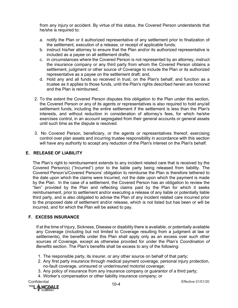from any injury or accident. By virtue of this status, the Covered Person understands that he/she is required to:

- a. notify the Plan or it authorized representative of any settlement prior to finalization of the settlement, execution of a release, or receipt of applicable funds;
- b. instruct his/her attorney to ensure that the Plan and/or its authorized representative is included as a payee on all settlement drafts;
- c. in circumstances where the Covered Person is not represented by an attorney, instruct the insurance company or any third party from whom the Covered Person obtains a settlement, judgment or other source of Coverage to include the Plan or its authorized representative as a payee on the settlement draft; and,
- d. Hold any and all funds so received in trust, on the Plan's behalf, and function as a trustee as it applies to those funds, until the Plan's rights described herein are honored and the Plan is reimbursed.
- 2. To the extent the Covered Person disputes this obligation to the Plan under this section, the Covered Person or any of its agents or representatives is also required to hold any/all settlement funds, including the entire settlement if the settlement is less than the Plan's interests, and without reduction in consideration of attorney's fees, for which he/she exercises control, in an account segregated from their general accounts or general assets until such time as the dispute is resolved.
- 3. No Covered Person, beneficiary, or the agents or representatives thereof, exercising control over plan assets and incurring trustee responsibility in accordance with this section will have any authority to accept any reduction of the Plan's interest on the Plan's behalf.

# **E. RELEASE OF LIABILITY**

The Plan's right to reimbursement extends to any incident related care that is received by the Covered Person(s) ("Incurred") prior to the liable party being released from liability. The Covered Person's/Covered Persons' obligation to reimburse the Plan is therefore tethered to the date upon which the claims were Incurred, not the date upon which the payment is made by the Plan. In the case of a settlement, the Covered Person has an obligation to review the "lien" provided by the Plan and reflecting claims paid by the Plan for which it seeks reimbursement, prior to settlement and/or executing a release of any liable or potentially liable third party, and is also obligated to advise the Plan of any incident related care incurred prior to the proposed date of settlement and/or release, which is not listed but has been or will be incurred, and for which the Plan will be asked to pay.

# **F. EXCESS INSURANCE**

If at the time of Injury, Sickness, Disease or disability there is available, or potentially available any Coverage (including but not limited to Coverage resulting from a judgment at law or settlements), the benefits under this Plan shall apply only as an excess over such other sources of Coverage, except as otherwise provided for under the Plan's *Coordination of Benefits* section. The Plan's benefits shall be excess to any of the following:

- 1. The responsible party, its insurer, or any other source on behalf of that party;
- 2. Any first party insurance through medical payment coverage, personal injury protection, no-fault coverage, uninsured or underinsured motorist coverage;
- 3. Any policy of insurance from any insurance company or guarantor of a third party;
- 4. Worker's compensation or other liability insurance company; or

Confidential Effective 01/01/20<br>™ELLEN LARENALE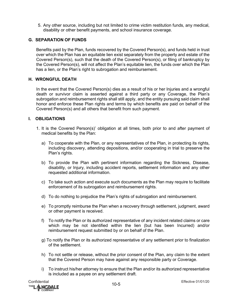5. Any other source, including but not limited to crime victim restitution funds, any medical, disability or other benefit payments, and school insurance coverage.

# **G. SEPARATION OF FUNDS**

Benefits paid by the Plan, funds recovered by the Covered Person(s), and funds held in trust over which the Plan has an equitable lien exist separately from the property and estate of the Covered Person(s), such that the death of the Covered Person(s), or filing of bankruptcy by the Covered Person(s), will not affect the Plan's equitable lien, the funds over which the Plan has a lien, or the Plan's right to subrogation and reimbursement.

# **H. WRONGFUL DEATH**

In the event that the Covered Person(s) dies as a result of his or her Injuries and a wrongful death or survivor claim is asserted against a third party or any Coverage, the Plan's subrogation and reimbursement rights shall still apply, and the entity pursuing said claim shall honor and enforce these Plan rights and terms by which benefits are paid on behalf of the Covered Person(s) and all others that benefit from such payment.

# **I. OBLIGATIONS**

- 1. It is the Covered Person(s)' obligation at all times, both prior to and after payment of medical benefits by the Plan:
	- a) To cooperate with the Plan, or any representatives of the Plan, in protecting its rights, including discovery, attending depositions, and/or cooperating in trial to preserve the Plan's rights.
	- b) To provide the Plan with pertinent information regarding the Sickness, Disease, disability, or Injury, including accident reports, settlement information and any other requested additional information.
	- c) To take such action and execute such documents as the Plan may require to facilitate enforcement of its subrogation and reimbursement rights.
	- d) To do nothing to prejudice the Plan's rights of subrogation and reimbursement.
	- e) To promptly reimburse the Plan when a recovery through settlement, judgment, award or other payment is received.
	- f) To notify the Plan or its authorized representative of any incident related claims or care which may be not identified within the lien (but has been Incurred) and/or reimbursement request submitted by or on behalf of the Plan.
	- g) To notify the Plan or its authorized representative of any settlement prior to finalization of the settlement.
	- h) To not settle or release, without the prior consent of the Plan, any claim to the extent that the Covered Person may have against any responsible party or Coverage.
	- i) To instruct his/her attorney to ensure that the Plan and/or its authorized representative is included as a payee on any settlement draft.

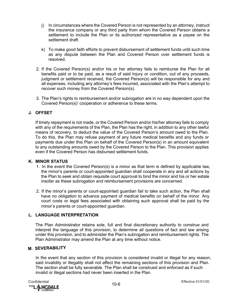- j) In circumstances where the Covered Person is not represented by an attorney, instruct the insurance company or any third party from whom the Covered Person obtains a settlement to include the Plan or its authorized representative as a payee on the settlement draft.
- k) To make good faith efforts to prevent disbursement of settlement funds until such time as any dispute between the Plan and Covered Person over settlement funds is resolved.
- 2. If the Covered Person(s) and/or his or her attorney fails to reimburse the Plan for all benefits paid or to be paid, as a result of said Injury or condition, out of any proceeds, judgment or settlement received, the Covered Person(s) will be responsible for any and all expenses, including any attorney's fees incurred, associated with the Plan's attempt to recover such money from the Covered Person(s).
- 3. The Plan's rights to reimbursement and/or subrogation are in no way dependent upon the Covered Person(s)' cooperation or adherence to these terms.

# **J. OFFSET**

If timely repayment is not made, or the Covered Person and/or his/her attorney fails to comply with any of the requirements of the Plan, the Plan has the right, in addition to any other lawful means of recovery, to deduct the value of the Covered Person's amount owed to the Plan. To do this, the Plan may refuse payment of any future medical benefits and any funds or payments due under this Plan on behalf of the Covered Person(s) in an amount equivalent to any outstanding amounts owed by the Covered Person to the Plan. This provision applies even if the Covered Person has disbursed settlement funds.

#### **K. MINOR STATUS**

- 1. In the event the Covered Person(s) is a minor as that term is defined by applicable law, the minor's parents or court-appointed guardian shall cooperate in any and all actions by the Plan to seek and obtain requisite court approval to bind the minor and his or her estate insofar as these subrogation and reimbursement provisions are concerned.
- 2. If the minor's parents or court-appointed guardian fail to take such action, the Plan shall have no obligation to advance payment of medical benefits on behalf of the minor. Any court costs or legal fees associated with obtaining such approval shall be paid by the minor's parents or court-appointed guardian.

# **L. LANGUAGE INTERPRETATION**

The Plan Administrator retains sole, full and final discretionary authority to construe and interpret the language of this provision, to determine all questions of fact and law arising under this provision, and to administer the Plan's subrogation and reimbursement rights. The Plan Administrator may amend the Plan at any time without notice.

#### **M. SEVERABILITY**

In the event that any section of this provision is considered invalid or illegal for any reason, said invalidity or illegality shall not affect the remaining sections of this provision and Plan. The section shall be fully severable. The Plan shall be construed and enforced as if such invalid or illegal sections had never been inserted in the Plan.

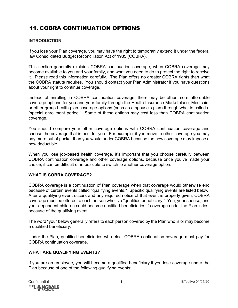# **11. COBRA CONTINUATION OPTIONS**

# **INTRODUCTION**

If you lose your Plan coverage, you may have the right to temporarily extend it under the federal law Consolidated Budget Reconciliation Act of 1985 (COBRA).

This section generally explains COBRA continuation coverage, when COBRA coverage may become available to you and your family, and what you need to do to protect the right to receive it. Please read this information carefully. The Plan offers no greater COBRA rights than what the COBRA statute requires. You should contact your Plan Administrator if you have questions about your right to continue coverage.

Instead of enrolling in COBRA continuation coverage, there may be other more affordable coverage options for you and your family through the Health Insurance Marketplace, Medicaid, or other group health plan coverage options (such as a spouse's plan) through what is called a "special enrollment period." Some of these options may cost less than COBRA continuation coverage.

You should compare your other coverage options with COBRA continuation coverage and choose the coverage that is best for you. For example, if you move to other coverage you may pay more out of pocket than you would under COBRA because the new coverage may impose a new deductible.

When you lose job-based health coverage, it's important that you choose carefully between COBRA continuation coverage and other coverage options, because once you've made your choice, it can be difficult or impossible to switch to another coverage option.

# **WHAT IS COBRA COVERAGE?**

COBRA coverage is a continuation of Plan coverage when that coverage would otherwise end because of certain events called "qualifying events." Specific qualifying events are listed below. After a qualifying event occurs and any required notice of that event is properly given, COBRA coverage must be offered to each person who is a "qualified beneficiary." You, your spouse, and your dependent children could become qualified beneficiaries if coverage under the Plan is lost because of the qualifying event.

The word "you" below generally refers to each person covered by the Plan who is or may become a qualified beneficiary.

Under the Plan, qualified beneficiaries who elect COBRA continuation coverage must pay for COBRA continuation coverage.

# **WHAT ARE QUALIFYING EVENTS?**

If you are an employee, you will become a qualified beneficiary if you lose coverage under the Plan because of one of the following qualifying events:

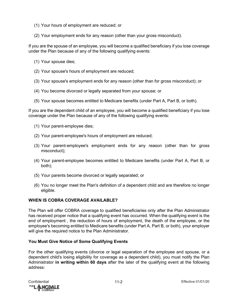- (1) Your hours of employment are reduced; or
- (2) Your employment ends for any reason (other than your gross misconduct).

If you are the spouse of an employee, you will become a qualified beneficiary if you lose coverage under the Plan because of any of the following qualifying events:

- (1) Your spouse dies;
- (2) Your spouse's hours of employment are reduced;
- (3) Your spouse's employment ends for any reason (other than for gross misconduct); or
- (4) You become divorced or legally separated from your spouse; or
- (5) Your spouse becomes entitled to Medicare benefits (under Part A, Part B, or both).

If you are the dependent child of an employee, you will become a qualified beneficiary if you lose coverage under the Plan because of any of the following qualifying events:

- (1) Your parent-employee dies;
- (2) Your parent-employee's hours of employment are reduced;
- (3) Your parent-employee's employment ends for any reason (other than for gross misconduct);
- (4) Your parent-employee becomes entitled to Medicare benefits (under Part A, Part B, or both);
- (5) Your parents become divorced or legally separated; or
- (6) You no longer meet the Plan's definition of a dependent child and are therefore no longer eligible.

# **WHEN IS COBRA COVERAGE AVAILABLE?**

The Plan will offer COBRA coverage to qualified beneficiaries only after the Plan Administrator has received proper notice that a qualifying event has occurred. When the qualifying event is the end of employment , the reduction of hours of employment, the death of the employee, or the employee's becoming entitled to Medicare benefits (under Part A, Part B, or both), your employer will give the required notice to the Plan Administrator.

# **You Must Give Notice of Some Qualifying Events**

For the other qualifying events (divorce or legal separation of the employee and spouse, or a dependent child's losing eligibility for coverage as a dependent child), you must notify the Plan Administrator **in writing within 60 days** after the later of the qualifying event at the following address:

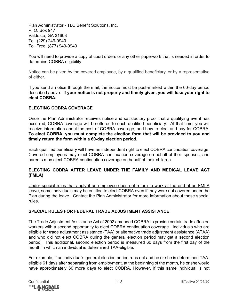Plan Administrator - TLC Benefit Solutions, Inc. P. O. Box 947 Valdosta, GA 31603 Tel: (229) 249-0940 Toll Free: (877) 949-0940

You will need to provide a copy of court orders or any other paperwork that is needed in order to determine COBRA eligibility.

Notice can be given by the covered employee, by a qualified beneficiary, or by a representative of either.

If you send a notice through the mail, the notice must be post-marked within the 60-day period described above. **If your notice is not properly and timely given, you will lose your right to elect COBRA.** 

# **ELECTING COBRA COVERAGE**

Once the Plan Administrator receives notice and satisfactory proof that a qualifying event has occurred, COBRA coverage will be offered to each qualified beneficiary. At that time, you will receive information about the cost of COBRA coverage, and how to elect and pay for COBRA. **To elect COBRA, you must complete the election form that will be provided to you and timely return the form within a 60-day election period.** 

Each qualified beneficiary will have an independent right to elect COBRA continuation coverage. Covered employees may elect COBRA continuation coverage on behalf of their spouses, and parents may elect COBRA continuation coverage on behalf of their children.

# **ELECTING COBRA AFTER LEAVE UNDER THE FAMILY AND MEDICAL LEAVE ACT (FMLA)**

Under special rules that apply if an employee does not return to work at the end of an FMLA leave, some individuals may be entitled to elect COBRA even if they were not covered under the Plan during the leave. Contact the Plan Administrator for more information about these special rules.

# **SPECIAL RULES FOR FEDERAL TRADE ADJUSTMENT ASSISTANCE**

The Trade Adjustment Assistance Act of 2002 amended COBRA to provide certain trade affected workers with a second opportunity to elect COBRA continuation coverage. Individuals who are eligible for trade adjustment assistance (TAA) or alternative trade adjustment assistance (ATAA) and who did not elect COBRA during the general election period may get a second election period. This additional, second election period is measured 60 days from the first day of the month in which an individual is determined TAA-eligible.

For example, if an individual's general election period runs out and he or she is determined TAAeligible 61 days after separating from employment, at the beginning of the month, he or she would have approximately 60 more days to elect COBRA. However, if this same individual is not

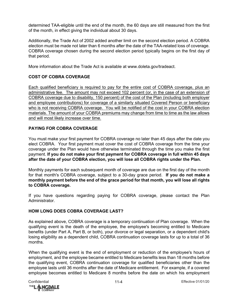determined TAA-eligible until the end of the month, the 60 days are still measured from the first of the month, in effect giving the individual about 30 days.

Additionally, the Trade Act of 2002 added another limit on the second election period. A COBRA election must be made not later than 6 months after the date of the TAA-related loss of coverage. COBRA coverage chosen during the second election period typically begins on the first day of that period.

More information about the Trade Act is available at www.doleta.gov/tradeact.

# **COST OF COBRA COVERAGE**

Each qualified beneficiary is required to pay for the entire cost of COBRA coverage, plus an administrative fee. The amount may not exceed 102 percent (or, in the case of an extension of COBRA coverage due to disability, 150 percent) of the cost of the Plan (including both employer and employee contributions) for coverage of a similarly situated Covered Person or beneficiary who is not receiving COBRA coverage. You will be notified of the cost in your COBRA election materials. The amount of your COBRA premiums may change from time to time as the law allows and will most likely increase over time.

# **PAYING FOR COBRA COVERAGE**

You must make your first payment for COBRA coverage no later than 45 days after the date you elect COBRA. Your first payment must cover the cost of COBRA coverage from the time your coverage under the Plan would have otherwise terminated through the time you make the first payment. **If you do not make your first payment for COBRA coverage in full within 45 days after the date of your COBRA election, you will lose all COBRA rights under the Plan.**

Monthly payments for each subsequent month of coverage are due on the first day of the month for that month's COBRA coverage, subject to a 30-day grace period. **If you do not make a monthly payment before the end of the grace period for that month, you will lose all rights to COBRA coverage.**

If you have questions regarding paying for COBRA coverage, please contact the Plan Administrator.

# **HOW LONG DOES COBRA COVERAGE LAST?**

As explained above, COBRA coverage is a temporary continuation of Plan coverage. When the qualifying event is the death of the employee, the employee's becoming entitled to Medicare benefits (under Part A, Part B, or both), your divorce or legal separation, or a dependent child's losing eligibility as a dependent child, COBRA continuation coverage lasts for up to a total of 36 months.

When the qualifying event is the end of employment or reduction of the employee's hours of employment, and the employee became entitled to Medicare benefits less than 18 months before the qualifying event, COBRA continuation coverage for qualified beneficiaries other than the employee lasts until 36 months after the date of Medicare entitlement. For example, if a covered employee becomes entitled to Medicare 8 months before the date on which his employment

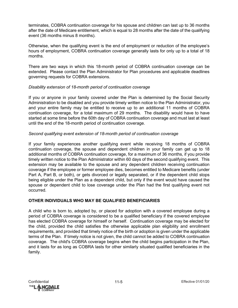terminates, COBRA continuation coverage for his spouse and children can last up to 36 months after the date of Medicare entitlement, which is equal to 28 months after the date of the qualifying event (36 months minus 8 months).

Otherwise, when the qualifying event is the end of employment or reduction of the employee's hours of employment, COBRA continuation coverage generally lasts for only up to a total of 18 months.

There are two ways in which this 18-month period of COBRA continuation coverage can be extended. Please contact the Plan Administrator for Plan procedures and applicable deadlines governing requests for COBRA extensions.

# *Disability extension of 18-month period of continuation coverage*

If you or anyone in your family covered under the Plan is determined by the Social Security Administration to be disabled and you provide timely written notice to the Plan Administrator, you and your entire family may be entitled to receive up to an additional 11 months of COBRA continuation coverage, for a total maximum of 29 months. The disability would have to have started at some time before the 60th day of COBRA continuation coverage and must last at least until the end of the 18-month period of continuation coverage.

# *Second qualifying event extension of 18-month period of continuation coverage*

If your family experiences another qualifying event while receiving 18 months of COBRA continuation coverage, the spouse and dependent children in your family can get up to 18 additional months of COBRA continuation coverage, for a maximum of 36 months, if you provide timely written notice to the Plan Administrator within 60 days of the second qualifying event. This extension may be available to the spouse and any dependent children receiving continuation coverage if the employee or former employee dies, becomes entitled to Medicare benefits (under Part A, Part B, or both), or gets divorced or legally separated, or if the dependent child stops being eligible under the Plan as a dependent child, but only if the event would have caused the spouse or dependent child to lose coverage under the Plan had the first qualifying event not occurred.

# **OTHER INDIVIDUALS WHO MAY BE QUALIFIED BENEFICIARIES**

A child who is born to, adopted by, or placed for adoption with a covered employee during a period of COBRA coverage is considered to be a qualified beneficiary if the covered employee has elected COBRA coverage for himself or herself. Continuation coverage may be elected for the child, provided the child satisfies the otherwise applicable plan eligibility and enrollment requirements, and provided that timely notice of the birth or adoption is given under the applicable terms of the Plan. If timely notice is not given, the child cannot be added to COBRA continuation coverage. The child's COBRA coverage begins when the child begins participation in the Plan, and it lasts for as long as COBRA lasts for other similarly situated qualified beneficiaries in the family.

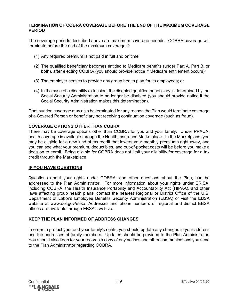## **TERMINATION OF COBRA COVERAGE BEFORE THE END OF THE MAXIMUM COVERAGE PERIOD**

The coverage periods described above are maximum coverage periods. COBRA coverage will terminate before the end of the maximum coverage if:

- (1) Any required premium is not paid in full and on time;
- (2) The qualified beneficiary becomes entitled to Medicare benefits (under Part A, Part B, or both), after electing COBRA (you should provide notice if Medicare entitlement occurs);
- (3) The employer ceases to provide any group health plan for its employees; or
- (4) In the case of a disability extension, the disabled qualified beneficiary is determined by the Social Security Administration to no longer be disabled (you should provide notice if the Social Security Administration makes this determination).

Continuation coverage may also be terminated for any reason the Plan would terminate coverage of a Covered Person or beneficiary not receiving continuation coverage (such as fraud).

# **COVERAGE OPTIONS OTHER THAN COBRA**

There may be coverage options other than COBRA for you and your family. Under PPACA, health coverage is available through the Health Insurance Marketplace. In the Marketplace, you may be eligible for a new kind of tax credit that lowers your monthly premiums right away, and you can see what your premium, deductibles, and out-of-pocket costs will be before you make a decision to enroll. Being eligible for COBRA does not limit your eligibility for coverage for a tax credit through the Marketplace.

# **IF YOU HAVE QUESTIONS**

Questions about your rights under COBRA, and other questions about the Plan, can be addressed to the Plan Administrator. For more information about your rights under ERISA, including COBRA, the Health Insurance Portability and Accountability Act (HIPAA), and other laws affecting group health plans, contact the nearest Regional or District Office of the U.S. Department of Labor's Employee Benefits Security Administration (EBSA) or visit the EBSA website at www.dol.gov/ebsa. Addresses and phone numbers of regional and district EBSA offices are available through EBSA's website.

# **KEEP THE PLAN INFORMED OF ADDRESS CHANGES**

In order to protect your and your family's rights, you should update any changes in your address and the addresses of family members. Updates should be provided to the Plan Administrator. You should also keep for your records a copy of any notices and other communications you send to the Plan Administrator regarding COBRA.

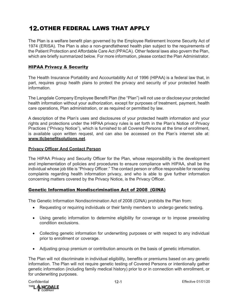# **12. OTHER FEDERAL LAWS THAT APPLY**

The Plan is a welfare benefit plan governed by the Employee Retirement Income Security Act of 1974 (ERISA). The Plan is also a non-grandfathered health plan subject to the requirements of the Patient Protection and Affordable Care Act (PPACA). Other federal laws also govern the Plan, which are briefly summarized below. For more information, please contact the Plan Administrator.

# HIPAA Privacy & Security

The Health Insurance Portability and Accountability Act of 1996 (HIPAA) is a federal law that, in part, requires group health plans to protect the privacy and security of your protected health information.

The Langdale Company Employee Benefit Plan (the "Plan") will not use or discloseyour protected health information without your authorization, except for purposes of treatment, payment, health care operations, Plan administration, or as required or permitted by law.

A description of the Plan's uses and disclosures of your protected health information and your rights and protections under the HIPAA privacy rules is set forth in the Plan's Notice of Privacy Practices ("Privacy Notice"), which is furnished to all Covered Persons at the time of enrollment, is available upon written request, and can also be accessed on the Plan's internet site at: **[www.tlcbenefitsolutions.net](http://www.tlcbenefitsolutions.net/)**.

# **Privacy Officer And Contact Person**

The HIPAA Privacy and Security Officer for the Plan, whose responsibility is the development and implementation of policies and procedures to ensure compliance with HIPAA, shall be the individual whose job title is "Privacy Officer." The contact person or office responsible for receiving complaints regarding health information privacy, and who is able to give further information concerning matters covered by the Privacy Notice, is the Privacy Officer.

# Genetic Information Nondiscrimination Act of 2008 (GINA)

The Genetic Information Nondiscrimination Act of 2008 (GINA) prohibits the Plan from:

- Requesting or requiring individuals or their family members to undergo genetic testing.
- Using genetic information to determine eligibility for coverage or to impose preexisting condition exclusions.
- Collecting genetic information for underwriting purposes or with respect to any individual prior to enrollment or coverage.
- Adjusting group premium or contribution amounts on the basis of genetic information.

The Plan will not discriminate in individual eligibility, benefits or premiums based on any genetic information. The Plan will not require genetic testing of Covered Persons or intentionally gather genetic information (including family medical history) prior to or in connection with enrollment, or for underwriting purposes.

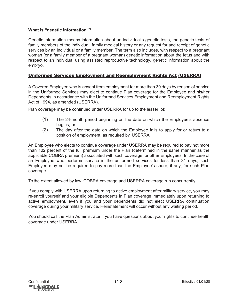# **What is "genetic information"?**

Genetic information means information about an individual's genetic tests, the genetic tests of family members of the individual, family medical history or any request for and receipt of genetic services by an individual or a family member. The term also includes, with respect to a pregnant woman (or a family member of a pregnant woman) genetic information about the fetus and with respect to an individual using assisted reproductive technology, genetic information about the embryo.

# Uniformed Services Employment and Reemployment Rights Act (USERRA)

A Covered Employee who is absent from employment for more than 30 days by reason of service in the Uniformed Services may elect to continue Plan coverage for the Employee and his/her Dependents in accordance with the Uniformed Services Employment and Reemployment Rights Act of 1994, as amended (USERRA).

Plan coverage may be continued under USERRA for up to the lesser of:

- (1) The 24-month period beginning on the date on which the Employee's absence begins; or
- (2) The day after the date on which the Employee fails to apply for or return to a position of employment, as required by USERRA.

An Employee who elects to continue coverage under USERRA may be required to pay not more than 102 percent of the full premium under the Plan (determined in the same manner as the applicable COBRA premium) associated with such coverage for other Employees. In the case of an Employee who performs service in the uniformed services for less than 31 days, such Employee may not be required to pay more than the Employee's share, if any, for such Plan coverage.

To the extent allowed by law, COBRA coverage and USERRA coverage run concurrently.

If you comply with USERRA upon returning to active employment after military service, you may re-enroll yourself and your eligible Dependents in Plan coverage immediately upon returning to active employment, even if you and your dependents did not elect USERRA continuation coverage during your military service. Reinstatement will occur without any waiting period.

You should call the Plan Administrator if you have questions about your rights to continue health coverage under USERRA.

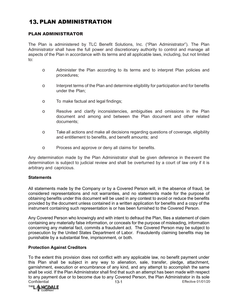# **13. PLAN ADMINISTRATION**

# PLAN ADMINISTRATOR

The Plan is administered by TLC Benefit Solutions, Inc. ("Plan Administrator"). The Plan Administrator shall have the full power and discretionary authority to control and manage all aspects of the Plan in accordance with its terms and all applicable laws, including, but not limited to:

- o Administer the Plan according to its terms and to interpret Plan policies and procedures;
- o Interpret terms of the Plan and determine eligibility for participation and for benefits under the Plan;
- o To make factual and legal findings;
- o Resolve and clarify inconsistencies, ambiguities and omissions in the Plan document and among and between the Plan document and other related documents;
- o Take all actions and make all decisions regarding questions of coverage, eligibility and entitlement to benefits, and benefit amounts; and
- o Process and approve or deny all claims for benefits.

Any determination made by the Plan Administrator shall be given deference in theevent the determination is subject to judicial review and shall be overturned by a court of law only if it is arbitrary and capricious.

# **Statements**

All statements made by the Company or by a Covered Person will, in the absence of fraud, be considered representations and not warranties, and no statements made for the purpose of obtaining benefits under this document will be used in any contest to avoid or reduce the benefits provided by the document unless contained in a written application for benefits and a copy of the instrument containing such representation is or has been furnished to the Covered Person.

Any Covered Person who knowingly and with intent to defraud the Plan, files a statement of claim containing any materially false information, or conceals for the purpose of misleading, information concerning any material fact, commits a fraudulent act. The Covered Person may be subject to prosecution by the United States Department of Labor. Fraudulently claiming benefits may be punishable by a substantial fine, imprisonment, or both.

# **Protection Against Creditors**

Confidential 13-1 Effective 01/01/20 To the extent this provision does not conflict with any applicable law, no benefit payment under this Plan shall be subject in any way to alienation, sale, transfer, pledge, attachment, garnishment, execution or encumbrance of any kind, and any attempt to accomplish the same shall be void. If the Plan Administrator shall find that such an attempt has been made with respect to any payment due or to become due to any Covered Person, the Plan Administrator in its sole<br>Confidential Effective 01/01/20

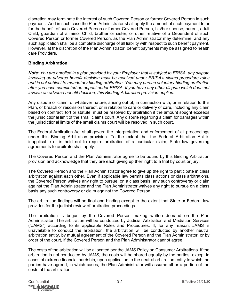discretion may terminate the interest of such Covered Person or former Covered Person in such payment. And in such case the Plan Administrator shall apply the amount of such payment to or for the benefit of such Covered Person or former Covered Person, his/her spouse, parent, adult Child, guardian of a minor Child, brother or sister, or other relative of a Dependent of such Covered Person or former Covered Person, as the Plan Administrator may determine, and any such application shall be a complete discharge of all liability with respect to such benefit payment. However, at the discretion of the Plan Administrator, benefit payments may be assigned to health care Providers.

# **Binding Arbitration**

*Note: You are enrolled in a plan provided by your Employer that is subject to ERISA, any dispute involving an adverse benefit decision must be resolved under ERISA's claims procedure rules and is not subject to mandatory binding arbitration. You may pursue voluntary binding arbitration after you have completed an appeal under ERISA. If you have any other dispute which does not involve an adverse benefit decision, this Binding Arbitration provision applies.* 

Any dispute or claim, of whatever nature, arising out of, in connection with, or in relation to this Plan, or breach or rescission thereof, or in relation to care or delivery of care, including any claim based on contract, tort or statute, must be resolved by arbitration if the amount sought exceeds the jurisdictional limit of the small claims court. Any dispute regarding a claim for damages within the jurisdictional limits of the small claims court will be resolved in such court.

The Federal Arbitration Act shall govern the interpretation and enforcement of all proceedings under this Binding Arbitration provision. To the extent that the Federal Arbitration Act is inapplicable or is held not to require arbitration of a particular claim, State law governing agreements to arbitrate shall apply.

The Covered Person and the Plan Administrator agree to be bound by this Binding Arbitration provision and acknowledge that they are each giving up their right to a trial by court or jury.

The Covered Person and the Plan Administrator agree to give up the right to participate in class arbitration against each other. Even if applicable law permits class actions or class arbitrations, the Covered Person waives any right to pursue, on a class basis, any such controversy or claim against the Plan Administrator and the Plan Administrator waives any right to pursue on a class basis any such controversy or claim against the Covered Person.

The arbitration findings will be final and binding except to the extent that State or Federal law provides for the judicial review of arbitration proceedings.

The arbitration is begun by the Covered Person making written demand on the Plan Administrator. The arbitration will be conducted by Judicial Arbitration and Mediation Services ("JAMS") according to its applicable Rules and Procedures. If, for any reason, JAMS is unavailable to conduct the arbitration, the arbitration will be conducted by another neutral arbitration entity, by mutual agreement of the Covered Person and the Plan Administrator, or by order of the court, if the Covered Person and the Plan Administrator cannot agree.

The costs of the arbitration will be allocated per the JAMS Policy on Consumer Arbitrations. If the arbitration is not conducted by JAMS, the costs will be shared equally by the parties, except in cases of extreme financial hardship, upon application to the neutral arbitration entity to which the parties have agreed, in which cases, the Plan Administrator will assume all or a portion of the costs of the arbitration.

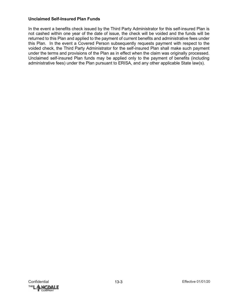## **Unclaimed Self-Insured Plan Funds**

In the event a benefits check issued by the Third Party Administrator for this self-insured Plan is not cashed within one year of the date of issue, the check will be voided and the funds will be returned to this Plan and applied to the payment of current benefits and administrative fees under this Plan. In the event a Covered Person subsequently requests payment with respect to the voided check, the Third Party Administrator for the self-insured Plan shall make such payment under the terms and provisions of the Plan as in effect when the claim was originally processed. Unclaimed self-insured Plan funds may be applied only to the payment of benefits (including administrative fees) under the Plan pursuant to ERISA, and any other applicable State law(s).

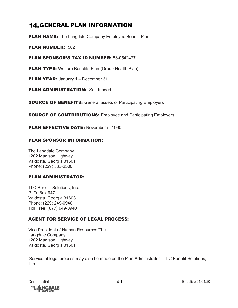## **14. GENERAL PLAN INFORMATION**

**PLAN NAME:** The Langdale Company Employee Benefit Plan

PLAN NUMBER: 502

PLAN SPONSOR'S TAX ID NUMBER: 58-0542427

**PLAN TYPE:** Welfare Benefits Plan (Group Health Plan)

PLAN YEAR: January 1 - December 31

PLAN ADMINISTRATION: Self-funded

**SOURCE OF BENEFITS:** General assets of Participating Employers

**SOURCE OF CONTRIBUTIONS:** Employee and Participating Employers

PLAN EFFECTIVE DATE: November 5, 1990

#### PLAN SPONSOR INFORMATION:

The Langdale Company 1202 Madison Highway Valdosta, Georgia 31601 Phone: (229) 333-2500

## PLAN ADMINISTRATOR:

TLC Benefit Solutions, Inc. P. O. Box 947 Valdosta, Georgia 31603 Phone: (229) 249-0940 Toll Free: (877) 949-0940

## AGENT FOR SERVICE OF LEGAL PROCESS:

Vice President of Human Resources The Langdale Company 1202 Madison Highway Valdosta, Georgia 31601

Service of legal process may also be made on the Plan Administrator - TLC Benefit Solutions, Inc.

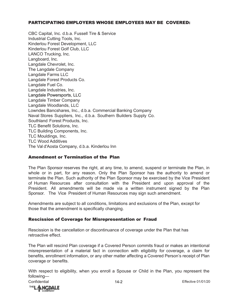#### PARTICIPATING EMPLOYERS WHOSE EMPLOYEES MAY BE COVERED:

CBC Capital, Inc. d.b.a. Fussell Tire & Service Industrial Cutting Tools, Inc. Kinderlou Forest Development, LLC Kinderlou Forest Golf Club, LLC LANCO Trucking, Inc. Langboard, Inc. Langdale Chevrolet, Inc. The Langdale Company Langdale Farms LLC Langdale Forest Products Co. Langdale Fuel Co. Langdale Industries, Inc. Langdale Powersports, LLC Langdale Timber Company Langdale Woodlands, LLC Lowndes Bancshares, Inc., d.b.a. Commercial Banking Company Naval Stores Suppliers, Inc., d.b.a. Southern Builders Supply Co. Southland Forest Products, Inc. TLC Benefit Solutions, Inc. TLC Building Components, Inc. TLC Mouldings, Inc. TLC Wood Additives The Val d'Aosta Company, d.b.a. Kinderlou Inn

#### Amendment or Termination of the Plan

The Plan Sponsor reserves the right, at any time, to amend, suspend or terminate the Plan, in whole or in part, for any reason. Only the Plan Sponsor has the authority to amend or terminate the Plan. Such authority of the Plan Sponsor may be exercised by the Vice President of Human Resources after consultation with the President and upon approval of the President. All amendments will be made via a written instrument signed by the Plan Sponsor. The Vice President of Human Resources may sign such amendment.

Amendments are subject to all conditions, limitations and exclusions of the Plan, except for those that the amendment is specifically changing.

#### Rescission of Coverage for Misrepresentation or Fraud

Rescission is the cancellation or discontinuance of coverage under the Plan that has retroactive effect.

The Plan will rescind Plan coverage if a Covered Person commits fraud or makes an intentional misrepresentation of a material fact in connection with eligibility for coverage, a claim for benefits, enrollment information, or any other matter affecting a Covered Person's receipt of Plan coverage or benefits.

With respect to eligibility, when you enroll a Spouse or Child in the Plan, you represent the following—

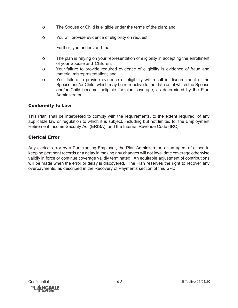- o The Spouse or Child is eligible under the terms of the plan; and
- o You will provide evidence of eligibility on request;

Further, you understand that—

- o The plan is relying on your representation of eligibility in accepting the enrollment of your Spouse and Children;
- o Your failure to provide required evidence of eligibility is evidence of fraud and material misrepresentation; and
- o Your failure to provide evidence of eligibility will result in disenrollment of the Spouse and/or Child, which may be retroactive to the date as of which the Spouse and/or Child became ineligible for plan coverage, as determined by the Plan Administrator.

## Conformity to Law

This Plan shall be interpreted to comply with the requirements, to the extent required, of any applicable law or regulation to which it is subject, including but not limited to, the Employment Retirement Income Security Act (ERISA), and the Internal Revenue Code (IRC).

## Clerical Error

Any clerical error by a Participating Employer, the Plan Administrator, or an agent of either, in keeping pertinent records or a delay in making any changes will not invalidate coverage otherwise validly in force or continue coverage validly terminated. An equitable adjustment of contributions will be made when the error or delay is discovered. The Plan reserves the right to recover any overpayments, as described in the Recovery of Payments section of this SPD.

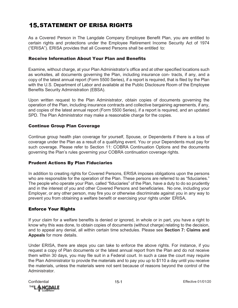# **15. STATEMENT OF ERISA RIGHTS**

As a Covered Person in The Langdale Company Employee Benefit Plan, you are entitled to certain rights and protections under the Employee Retirement Income Security Act of 1974 ("ERISA"). ERISA provides that all Covered Persons shall be entitled to:

#### Receive Information About Your Plan and Benefits

Examine, without charge, at your Plan Administrator's office and at other specified locations such as worksites, all documents governing the Plan, including insurance con- tracts, if any, and a copy of the latest annual report (Form 5500 Series), if a report is required, that is filed by the Plan with the U.S. Department of Labor and available at the Public Disclosure Room of the Employee Benefits Security Administration (EBSA).

Upon written request to the Plan Administrator, obtain copies of documents governing the operation of the Plan, including insurance contracts and collective bargaining agreements, if any, and copies of the latest annual report (Form 5500 Series), if a report is required, and an updated SPD. The Plan Administrator may make a reasonable charge for the copies.

#### Continue Group Plan Coverage

Continue group health plan coverage for yourself, Spouse, or Dependents if there is a loss of coverage under the Plan as a result of a qualifying event. You or your Dependents must pay for such coverage. Please refer to Section 11: COBRA Continuation Options and the documents governing the Plan's rules governing your COBRA continuation coverage rights.

#### Prudent Actions By Plan Fiduciaries

In addition to creating rights for Covered Persons, ERISA imposes obligations upon the persons who are responsible for the operation of the Plan. These persons are referred to as "fiduciaries." The people who operate your Plan, called "fiduciaries" of the Plan, have a duty to do so prudently and in the interest of you and other Covered Persons and beneficiaries. No one, including your Employer, or any other person, may fire you or otherwise discriminate against you in any way to prevent you from obtaining a welfare benefit or exercising your rights under ERISA**.**

#### Enforce Your Rights

If your claim for a welfare benefits is denied or ignored, in whole or in part, you have a right to know why this was done, to obtain copies of documents (without charge) relating to the decision, and to appeal any denial, all within certain time schedules. Please see **Section 7: Claims and Appeals** for more details.

Under ERISA, there are steps you can take to enforce the above rights. For instance, if you request a copy of Plan documents or the latest annual report from the Plan and do not receive them within 30 days, you may file suit in a Federal court. In such a case the court may require the Plan Administrator to provide the materials and to pay you up to \$110 a day until you receive the materials, unless the materials were not sent because of reasons beyond the control of the Administrator.

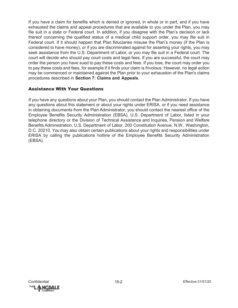If you have a claim for benefits which is denied or ignored, in whole or in part, and if you have exhausted the claims and appeal procedures that are available to you under the Plan, you may file suit in a state or Federal court. In addition, if you disagree with the Plan's decision or lack thereof concerning the qualified status of a medical child support order, you may file suit in Federal court. If it should happen that Plan fiduciaries misuse the Plan's money (if the Plan is considered to have money), or if you are discriminated against for asserting your rights, you may seek assistance from the U.S. Department of Labor, or you may file suit in a Federal court. The court will decide who should pay court costs and legal fees. If you are successful, the court may order the person you have sued to pay these costs and fees. If you lose, the court may order you to pay these costs and fees, for example if it finds your claim is frivolous. However, no legal action may be commenced or maintained against the Plan prior to your exhaustion of the Plan's claims procedures described in **Section 7: Claims and Appeals**.

## Assistance With Your Questions

If you have any questions about your Plan, you should contact the Plan Administrator. If you have any questions about this statement or about your rights under ERISA, or if you need assistance in obtaining documents from the Plan Administrator, you should contact the nearest office of the Employee Benefits Security Administration (EBSA), U.S. Department of Labor, listed in your telephone directory or the Division of Technical Assistance and Inquiries, Pension and Welfare Benefits Administration, U.S. Department of Labor, 200 Constitution Avenue, N.W., Washington, D.C. 20210. You may also obtain certain publications about your rights and responsibilities under ERISA by calling the publications hotline of the Employee Benefits Security Administration (EBSA).

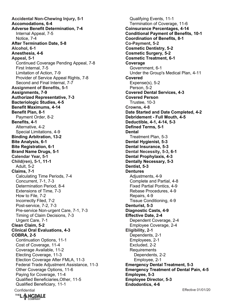Confidential Effective 01/01/20 **Accidental Non-Chewing Injury, 5-1 Accomodations, 6-4 Adverse Benefit Determination, 7-4** Internal Appeal, 7-5 Notice, 7-4 **After Termination Date, 5-8 Alcohol, 6-1 Anesthesia, 4-6 Appeal, 5-1** Continued Coverage Pending Appeal, 7-8 First Internal, 7-5 Limitation of Action, 7-9 Provider of Service Appeal Rights, 7-8 Second and Final Internal, 7-7 **Assignment of Benefits, 5-1 Assignments, 7-9 Authorized Representative, 7-3 Bacteriologic Studies, 4-5 Benefit Maximums, 4-14 Benefit Plan, 8-1** Payment Order, 8-2 **Benefits, 4-1** Alternative, 4-2 Special Limitations, 4-9 **Binding Arbitration, 13-2 Bite Analysis, 6-1 Bite Registration, 6-1 Brand Name Drugs, 5-1 Calendar Year, 5-1 Child(ren), 5-1, 11-1** Adult, 5-2 **Claims, 7-1** Calculating Time Periods, 7-4 Concurrent, 7-1, 7-3 Determination Period, 8-4 Extensions of Time, 7-3 How to File, 7-2 Incorrectly Filed, 7-2 Post-service, 7-2, 7-3 Pre-service Non-urgent Care, 7-1, 7-3 Timing of Claim Decisions, 7-3 Urgent Care, 7-1 **Clean Claim, 5-2 Clinical Oral Evaluations, 4-3 COBRA, 2-5** Continuation Options, 11-1 Cost of Coverage, 11-4 Coverage Available, 11-2 Electing Coverage, 11-3 Election Coverage After FMLA, 11-3 Federal Trade Adjustment Assistance, 11-3 Other Coverage Options, 11-6 Paying for Coverage, 11-4 Qualified Beneficiaries,Other, 11-5 Qualified Beneficiary, 11-1

Qualifying Events, 11-1 Termination of Coverage, 11-6 **Coinsurance Percentages, 4-14 Conditional Payment of Benefits, 10-1 Coordination of Benefits, 8-1 Co-Payment, 5-2 Cosmetic Dentistry, 5-2 Cosmetic Surgery, 5-2 Cosmetic Treatment, 6-1 Coverage** Government, 6-1 Under the Group's Medical Plan, 4-11 **Covered** Expense(s), 5-2 Person, 5-2 **Covered Dental Services, 4-3 Covered Person** Trustee, 10-3 **Crowns, 4-8 Date Started and Date Completed, 4-2 Debridement - Full Mouth, 4-5 Deductible, 4-1, 4-14, 5-3 Defined Terms, 5-1 Dental** Treatment Plan, 5-3 **Dental Hygienist, 5-3 Dental Insurance, 5-3 Dental Necessity, 5-3, 6-1 Dental Prophylaxis, 4-3 Dentally Necessary, 5-3 Dentist, 5-3 Dentures** Adiustments, 4-9 Complete and Partial, 4-8 Fixed Partial Pontics, 4-9 Rebase Procedures, 4-9 Repairs, 4-9 Tissue Conditioning, 4-9 **Denturist, 5-3 Diagnostic Casts, 4-9 Effective Date, 2-4** Dependent Coverage, 2-4 Employee Coverage, 2-4 **Eligibility, 2-1** Dependents, 2-1 Employees, 2-1 Excluded, 2-2 **Requirements** Dependents, 2-2 Employee, 2-1 **Emergency Dental Treatment, 5-3 Emergency Treatment of Dental Pain, 4-5 Employee, 5-3 Employee Director, 5-3 Endodontics, 4-6**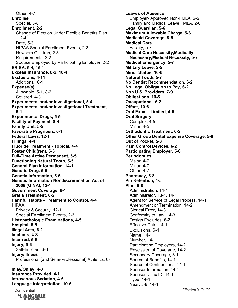Other, 4-7 **Enrollee** Special, 5-8 **Enrollment, 2-2** Change of Election Under Flexible Benefits Plan,  $2 - 4$ Date, 5-3 HIPAA Special Enrollment Events, 2-3 Newborn Children, 2-3 Requirements, 2-2 Spouse Employed by Participating Employer, 2-2 **ERISA, 5-4, 15-1 Excess Insurance, 8-2, 10-4 Exclusions, 4-11** Additional, 6-1 **Expense(s)** Allowable, 5-1, 8-2 Covered, 4-3 **Experimental and/or Investigational, 5-4 Experimental and/or Investigational Treatment, 6-1 Experimental Drugs, 5-5 Facility of Payment, 8-4 Family Unit, 5-5 Favorable Prognosis, 6-1 Federal Laws, 12-1 Fillings, 4-4 Fluoride Treatment - Topical, 4-4 Foster Child(ren), 5-5 Full-Time Active Permanent, 5-5 Functioning Natural Tooth, 5-5 General Plan Information, 14-1 Generic Drug, 5-5 Genetic Information, 5-5 Genetic Information Nondiscrimination Act of 2008 (GINA), 12-1 Government Coverage, 6-1 Gratis Treatment, 6-2 Harmful Habits - Treatment to Control, 4-4 HIPAA** Privacy & Security, 12-1 Special Enrollment Events, 2-3 **Histopathologic Examinations, 4-5 Hospital, 5-5 Illegal Acts, 6-2 Implants, 4-8 Incurred, 5-6 Injury, 5-6** Self-Inflicted, 6-3 **Injury/Illness** Professional (and Semi-Professional) Athletics, 6- 3 **Inlay/Onlay, 4-8 Insurance Provided, 4-1 Intravenous Sedation, 4-6 Language Interpretation, 10-6**

**Leaves of Absence** Employer- Approved Non-FMLA, 2-5 Family and Medical Leave FMLA, 2-6 **Legal Guardian, 5-6 Maximum Allowable Charge, 5-6 Medicaid Coverage, 8-5 Medical Care** Facility, 5-7 **Medical Care Necessity,Medically Necessary,Medical Necessity, 5-7 Medical Emergency, 5-7 Military Leave, 2-5 Minor Status, 10-6 Natural Tooth, 5-7 No Dentist Recommendation, 6-2 No Legal Obligation to Pay, 6-2 Non U.S. Providers, 7-9 Obligations, 10-5 Occupational, 6-2 Offset, 10-6 Oral Exam - Limited, 4-5 Oral Surgery** Complex, 4-5 Minor, 4-5 **Orthodontic Treatment, 6-2 Other Group Dental Expense Coverage, 5-8 Out of Pocket, 5-8 Pain Control Devices, 6-2 Participating Employer, 5-8 Periodontics** Major, 4-7 Minor, 4-7 Other, 4-7 **Pharmacy, 5-8 Pin Retention, 4-5 Plan, 5-8** Administration, 14-1 Administrator, 13-1, 14-1 Agent for Service of Legal Process, 14-1 Amendment or Termination, 14-2 Clerical Error, 14-3 Conformity to Law, 14-3 Design Excludes, 6-2 Effective Date, 14-1 Exclusions, 6-1 Name, 14-1 Number, 14-1 Participating Employers, 14-2 Rescission of Coverage, 14-2 Secondary Coverage, 8-1 Source of Benefits, 14-1 Source of Contributions, 14-1 Sponsor Information, 14-1 Sponsor's Tax ID, 14-1 Type, 14-1 Year, 5-8, 14-1

Confidential Effective 01/01/20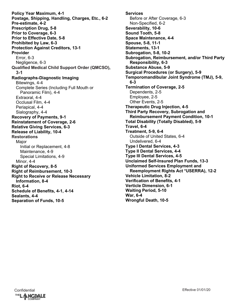**Policy Year Maximum, 4-1 Postage, Shipping, Handling, Charges, Etc., 6-2 Pre-estimate, 4-2 Prescription Drug, 5-8 Prior to Coverage, 6-3 Prior to Effective Date, 5-8 Prohibited by Law, 6-3 Protection Against Creditors, 13-1 Provider** Error, 6-3 Negligence, 6-3 **Qualified Medical Child Support Order (QMCSO), 3-1 Radiographs-Diagnostic Imaging** Bitewings, 4-4 Complete Series (Including Full Mouth or Panoramic Film), 4-4 Extraoral, 4-4 Occlusal Film, 4-4 Periapical, 4-4 Sialography, 4-4 **Recovery of Payments, 9-1 Reinstatement of Coverage, 2-6 Relative Giving Services, 6-3 Release of Liability, 10-4 Restorations Major** Initial or Replacement, 4-8 Maintenance, 4-9 Special Limitations, 4-9 Minor, 4-4 **Right of Recovery, 8-5 Right of Reimbursement, 10-3 Right to Receive or Release Necessary Information, 8-4 Riot, 6-4 Schedule of Benefits, 4-1, 4-14 Sealants, 4-4 Separation of Funds, 10-5**

**Services** Before or After Coverage, 6-3 Non-Specified, 6-2 **Severability, 10-6 Sound Tooth, 5-8 Space Maintenance, 4-4 Spouse, 5-8, 11-1 Statements, 13-1 Subrogation, 5-8, 10-2 Subrogation, Reimbursement, and/or Third Party Responsibility, 6-3 Substance Abuse, 5-9 Surgical Procedures (or Surgery), 5-9 Temporomandibular Joint Syndrome (TMJ), 5-9, 6-3 Termination of Coverage, 2-5** Dependents, 2-5 Employee, 2-5 Other Events, 2-5 **Therapeutic Drug Injection, 4-5 Third Party Recovery, Subrogation and Reimbursement Payment Condition, 10-1 Total Disability (Totally Disabled), 5-9 Travel, 6-4 Treatment, 5-9, 6-4** Outside of United States, 6-4 Undelivered, 6-4 **Type I Dental Services, 4-3 Type II Dental Services, 4-4 Type III Dental Services, 4-5 Unclaimed Self-Insured Plan Funds, 13-3 Uniformed Services Employment and Reemployment Rights Act \*USERRA), 12-2 Vehicle Limitation, 8-2 Verification of Benefits, 4-1 Verticle Dimension, 6-1 Waiting Period, 5-10 War, 6-4 Wrongful Death, 10-5**